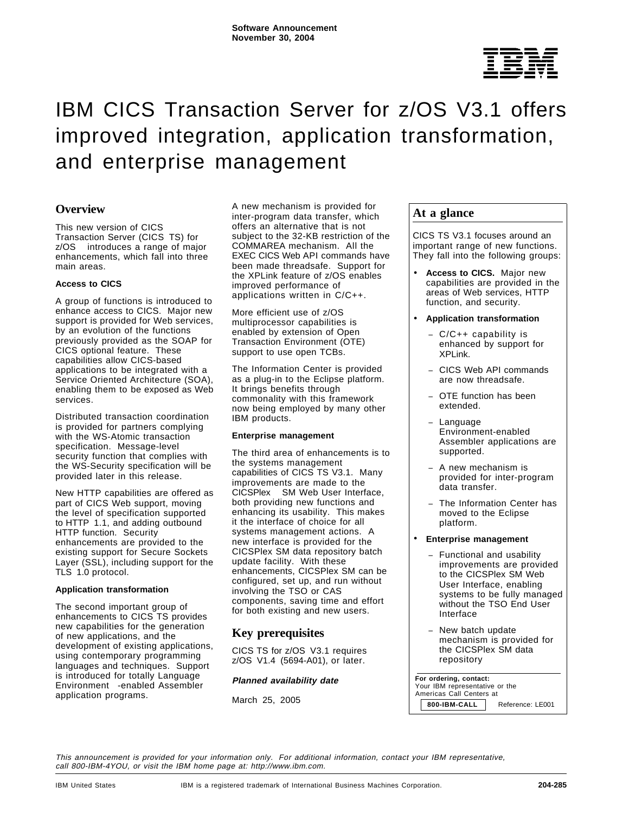

# IBM CICS Transaction Server for z/OS V3.1 offers improved integration, application transformation, and enterprise management

# **Overview**

This new version of CICS Transaction Server (CICS TS) for z/OS<sup>®</sup> introduces a range of major enhancements, which fall into three main areas.

### **Access to CICS**

A group of functions is introduced to enhance access to CICS. Major new support is provided for Web services, by an evolution of the functions previously provided as the SOAP for CICS optional feature. These capabilities allow CICS-based applications to be integrated with a Service Oriented Architecture (SOA), enabling them to be exposed as Web services.

Distributed transaction coordination is provided for partners complying with the WS-Atomic transaction specification. Message-level security function that complies with the WS-Security specification will be provided later in this release.

New HTTP capabilities are offered as part of CICS Web support, moving the level of specification supported to HTTP 1.1, and adding outbound HTTP function. Security enhancements are provided to the existing support for Secure Sockets Layer (SSL), including support for the TLS 1.0 protocol.

### **Application transformation**

The second important group of enhancements to CICS TS provides new capabilities for the generation of new applications, and the development of existing applications, using contemporary programming languages and techniques. Support is introduced for totally Language Environment<sup>®</sup>-enabled Assembler application programs.

A new mechanism is provided for inter-program data transfer, which offers an alternative that is not subject to the 32-KB restriction of the COMMAREA mechanism. All the EXEC CICS Web API commands have been made threadsafe. Support for the XPLink feature of z/OS enables improved performance of applications written in C/C++.

More efficient use of z/OS multiprocessor capabilities is enabled by extension of Open Transaction Environment (OTE) support to use open TCBs.

The Information Center is provided as a plug-in to the Eclipse platform. It brings benefits through commonality with this framework now being employed by many other IBM products.

### **Enterprise management**

The third area of enhancements is to the systems management capabilities of CICS TS V3.1. Many improvements are made to the CICSPlex<sup>®</sup> SM Web User Interface, both providing new functions and enhancing its usability. This makes it the interface of choice for all systems management actions. A new interface is provided for the CICSPlex SM data repository batch update facility. With these enhancements, CICSPlex SM can be configured, set up, and run without involving the TSO or CAS components, saving time and effort for both existing and new users.

# **Key prerequisites**

CICS TS for z/OS V3.1 requires z/OS V1.4 (5694-A01), or later.

### **Planned availability date**

March 25, 2005

# **At a glance**

CICS TS V3.1 focuses around an important range of new functions. They fall into the following groups:

- **Access to CICS.** Major new capabilities are provided in the areas of Web services, HTTP function, and security.
- **Application transformation**
	- − C/C++ capability is enhanced by support for XPLink.
	- − CICS Web API commands are now threadsafe.
	- OTE function has been extended.
	- − Language Environment-enabled Assembler applications are supported.
	- − A new mechanism is provided for inter-program data transfer.
	- The Information Center has moved to the Eclipse platform.

### • **Enterprise management**

- − Functional and usability improvements are provided to the CICSPlex SM Web User Interface, enabling systems to be fully managed without the TSO End User Interface
- − New batch update mechanism is provided for the CICSPlex SM data repository

#### **For ordering, contact:** Your IBM representative or the

 Americas Call Centers at **800-IBM-CALL** Reference: LE001

This announcement is provided for your information only. For additional information, contact your IBM representative, call 800-IBM-4YOU, or visit the IBM home page at: http://www.ibm.com.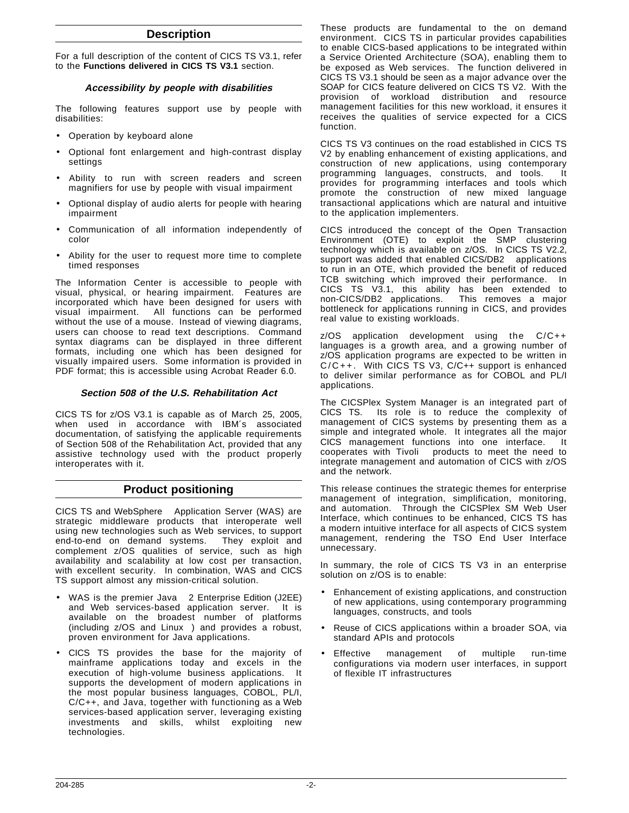# **Description**

For a full description of the content of CICS TS V3.1, refer to the **Functions delivered in CICS TS V3.1** section.

### **Accessibility by people with disabilities**

The following features support use by people with disabilities:

- Operation by keyboard alone
- Optional font enlargement and high-contrast display settings
- Ability to run with screen readers and screen magnifiers for use by people with visual impairment
- Optional display of audio alerts for people with hearing impairment
- Communication of all information independently of color
- Ability for the user to request more time to complete timed responses

The Information Center is accessible to people with visual, physical, or hearing impairment. Features are incorporated which have been designed for users with visual impairment. All functions can be performed without the use of a mouse. Instead of viewing diagrams, users can choose to read text descriptions. Command syntax diagrams can be displayed in three different formats, including one which has been designed for visually impaired users. Some information is provided in PDF format; this is accessible using Acrobat Reader 6.0.

# **Section 508 of the U.S. Rehabilitation Act**

CICS TS for z/OS V3.1 is capable as of March 25, 2005, when used in accordance with IBM's associated documentation, of satisfying the applicable requirements of Section 508 of the Rehabilitation Act, provided that any assistive technology used with the product properly interoperates with it.

# **Product positioning**

CICS TS and WebSphere<sup>®</sup> Application Server (WAS) are strategic middleware products that interoperate well using new technologies such as Web services, to support end-to-end on demand systems. They exploit and complement z/OS qualities of service, such as high availability and scalability at low cost per transaction, with excellent security. In combination, WAS and CICS TS support almost any mission-critical solution.

- WAS is the premier Java™ 2 Enterprise Edition (J2EE) and Web services-based application server. It is available on the broadest number of platforms  $(including z/OS and Linux<sup>TM</sup>)$  and provides a robust, proven environment for Java applications.
- CICS TS provides the base for the majority of mainframe applications today and excels in the execution of high-volume business applications. It supports the development of modern applications in the most popular business languages, COBOL, PL/I, C/C++, and Java, together with functioning as a Web services-based application server, leveraging existing investments and skills, whilst exploiting new technologies.

These products are fundamental to the on demand environment. CICS TS in particular provides capabilities to enable CICS-based applications to be integrated within a Service Oriented Architecture (SOA), enabling them to be exposed as Web services. The function delivered in CICS TS V3.1 should be seen as a major advance over the SOAP for CICS feature delivered on CICS TS V2. With the provision of workload distribution and resource management facilities for this new workload, it ensures it receives the qualities of service expected for a CICS function.

CICS TS V3 continues on the road established in CICS TS V2 by enabling enhancement of existing applications, and construction of new applications, using contemporary programming languages, constructs, and tools. provides for programming interfaces and tools which promote the construction of new mixed language transactional applications which are natural and intuitive to the application implementers.

CICS introduced the concept of the Open Transaction Environment (OTE) to exploit the SMP clustering technology which is available on z/OS. In CICS TS V2.2, support was added that enabled CICS/DB2<sup>®</sup> applications to run in an OTE, which provided the benefit of reduced TCB switching which improved their performance. In CICS TS V3.1, this ability has been extended to<br>non-CICS/DB2 applications. This removes a major non-CICS/DB2 applications. bottleneck for applications running in CICS, and provides real value to existing workloads.

z/OS application development using the C/C++ languages is a growth area, and a growing number of z/OS application programs are expected to be written in C/C++. With CICS TS V3, C/C++ support is enhanced to deliver similar performance as for COBOL and PL/I applications.

The CICSPlex System Manager is an integrated part of CICS TS. Its role is to reduce the complexity of management of CICS systems by presenting them as a simple and integrated whole. It integrates all the major CICS management functions into one interface. It cooperates with Tivoli<sup>®</sup> products to meet the need to integrate management and automation of CICS with z/OS and the network.

This release continues the strategic themes for enterprise management of integration, simplification, monitoring, and automation. Through the CICSPlex SM Web User Interface, which continues to be enhanced, CICS TS has a modern intuitive interface for all aspects of CICS system management, rendering the TSO End User Interface unnecessary.

In summary, the role of CICS TS V3 in an enterprise solution on z/OS is to enable:

- Enhancement of existing applications, and construction of new applications, using contemporary programming languages, constructs, and tools
- Reuse of CICS applications within a broader SOA, via standard APIs and protocols
- Effective management of multiple run-time configurations via modern user interfaces, in support of flexible IT infrastructures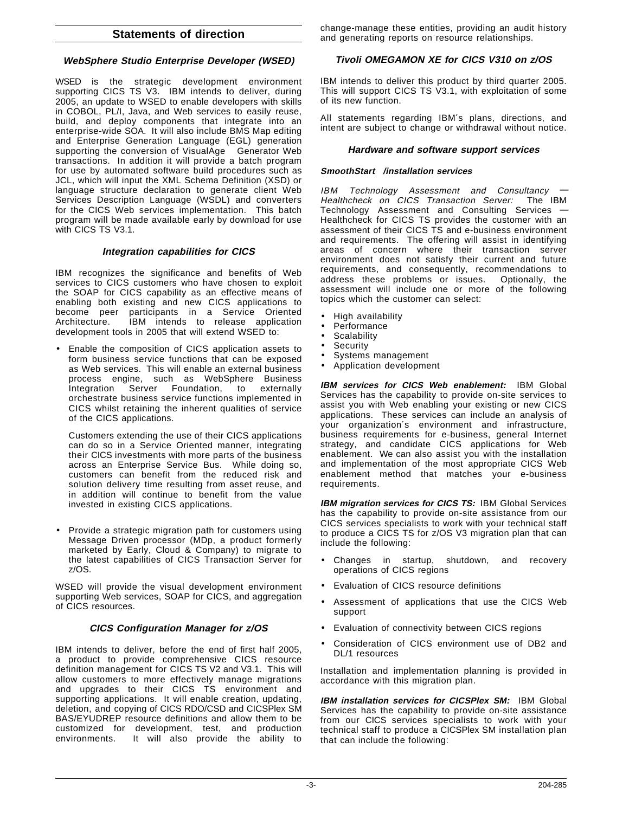# **Statements of direction**

# **WebSphere Studio Enterprise Developer (WSED)**

WSED is the strategic development environment supporting CICS TS V3. IBM intends to deliver, during 2005, an update to WSED to enable developers with skills in COBOL, PL/I, Java, and Web services to easily reuse, build, and deploy components that integrate into an enterprise-wide SOA. It will also include BMS Map editing and Enterprise Generation Language (EGL) generation supporting the conversion of VisualAge<sup>®</sup> Generator Web transactions. In addition it will provide a batch program for use by automated software build procedures such as JCL, which will input the XML Schema Definition (XSD) or language structure declaration to generate client Web Services Description Language (WSDL) and converters for the CICS Web services implementation. This batch program will be made available early by download for use with CICS TS V3.1.

# **Integration capabilities for CICS**

IBM recognizes the significance and benefits of Web services to CICS customers who have chosen to exploit the SOAP for CICS capability as an effective means of enabling both existing and new CICS applications to become peer participants in a Service Oriented Architecture. IBM intends to release application development tools in 2005 that will extend WSED to:

• Enable the composition of CICS application assets to form business service functions that can be exposed as Web services. This will enable an external business process engine, such as WebSphere Business Integration Server Foundation, to externally orchestrate business service functions implemented in CICS whilst retaining the inherent qualities of service of the CICS applications.

Customers extending the use of their CICS applications can do so in a Service Oriented manner, integrating their CICS investments with more parts of the business across an Enterprise Service Bus. While doing so, customers can benefit from the reduced risk and solution delivery time resulting from asset reuse, and in addition will continue to benefit from the value invested in existing CICS applications.

• Provide a strategic migration path for customers using Message Driven processor (MDp, a product formerly marketed by Early, Cloud & Company) to migrate to the latest capabilities of CICS Transaction Server for z/OS.

WSED will provide the visual development environment supporting Web services, SOAP for CICS, and aggregation of CICS resources.

# **CICS Configuration Manager for z/OS**

IBM intends to deliver, before the end of first half 2005, a product to provide comprehensive CICS resource definition management for CICS TS V2 and V3.1. This will allow customers to more effectively manage migrations and upgrades to their CICS TS environment and supporting applications. It will enable creation, updating, deletion, and copying of CICS RDO/CSD and CICSPlex SM BAS/EYUDREP resource definitions and allow them to be customized for development, test, and production<br>environments. It will also provide the ability to It will also provide the ability to

change-manage these entities, providing an audit history and generating reports on resource relationships.

# **Tivoli OMEGAMON XE for CICS V310 on z/OS**

IBM intends to deliver this product by third quarter 2005. This will support CICS TS V3.1, with exploitation of some of its new function.

All statements regarding IBM′s plans, directions, and intent are subject to change or withdrawal without notice.

# **Hardware and software support services**

# **SmoothStart /installation services**

IBM Technology Assessment and Consultancy **—** Healthcheck on CICS Transaction Server: The IBM Technology Assessment and Consulting Services **—** Healthcheck for CICS TS provides the customer with an assessment of their CICS TS and e-business environment and requirements. The offering will assist in identifying areas of concern where their transaction server environment does not satisfy their current and future requirements, and consequently, recommendations to address these problems or issues. Optionally, the assessment will include one or more of the following topics which the customer can select:

- High availability
- **Performance**
- **Scalability**
- Security
- Systems management
- Application development

**IBM services for CICS Web enablement:** IBM Global Services has the capability to provide on-site services to assist you with Web enabling your existing or new CICS applications. These services can include an analysis of your organization′s environment and infrastructure, business requirements for e-business, general Internet strategy, and candidate CICS applications for Web enablement. We can also assist you with the installation and implementation of the most appropriate CICS Web enablement method that matches your e-business requirements.

**IBM migration services for CICS TS: IBM Global Services** has the capability to provide on-site assistance from our CICS services specialists to work with your technical staff to produce a CICS TS for z/OS V3 migration plan that can include the following:

- Changes in startup, shutdown, and recovery operations of CICS regions
- Evaluation of CICS resource definitions
- Assessment of applications that use the CICS Web support
- Evaluation of connectivity between CICS regions
- Consideration of CICS environment use of DB2 and DL/1 resources

Installation and implementation planning is provided in accordance with this migration plan.

**IBM installation services for CICSPlex SM:** IBM Global Services has the capability to provide on-site assistance from our CICS services specialists to work with your technical staff to produce a CICSPlex SM installation plan that can include the following: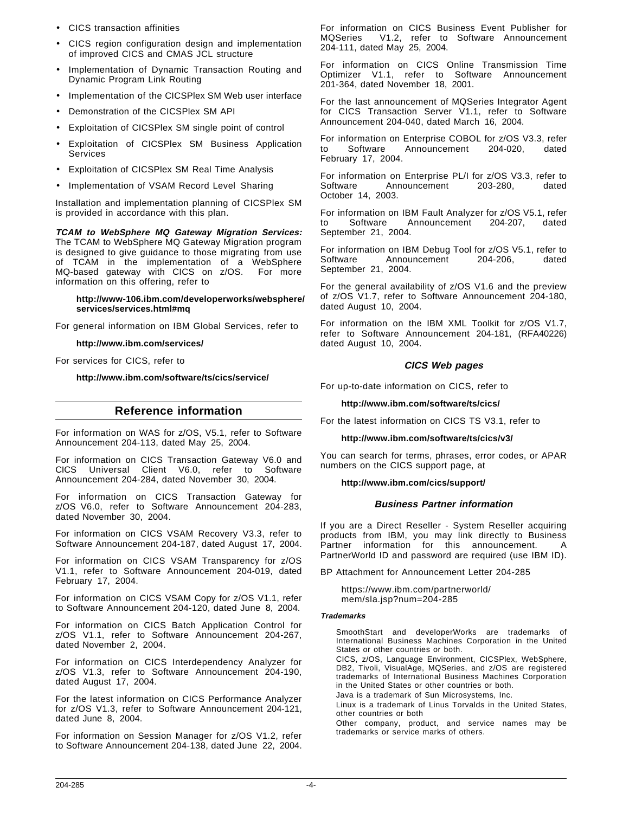- CICS transaction affinities
- CICS region configuration design and implementation of improved CICS and CMAS JCL structure
- Implementation of Dynamic Transaction Routing and Dynamic Program Link Routing
- Implementation of the CICSPlex SM Web user interface
- Demonstration of the CICSPlex SM API
- Exploitation of CICSPlex SM single point of control
- Exploitation of CICSPlex SM Business Application Services
- Exploitation of CICSPlex SM Real Time Analysis
- Implementation of VSAM Record Level Sharing

Installation and implementation planning of CICSPlex SM is provided in accordance with this plan.

**TCAM to WebSphere MQ Gateway Migration Services:** The TCAM to WebSphere MQ Gateway Migration program is designed to give guidance to those migrating from use of TCAM in the implementation of a WebSphere MQ-based gateway with CICS on z/OS. For more information on this offering, refer to

#### **http://www-106.ibm.com/developerworks/websphere/ services/services.html#mq**

For general information on IBM Global Services, refer to

#### **http://www.ibm.com/services/**

For services for CICS, refer to

**http://www.ibm.com/software/ts/cics/service/**

### **Reference information**

For information on WAS for z/OS, V5.1, refer to Software Announcement 204-113, dated May 25, 2004.

For information on CICS Transaction Gateway V6.0 and CICS Universal Client V6.0, refer to Software Announcement 204-284, dated November 30, 2004.

For information on CICS Transaction Gateway for z/OS V6.0, refer to Software Announcement 204-283, dated November 30, 2004.

For information on CICS VSAM Recovery V3.3, refer to Software Announcement 204-187, dated August 17, 2004.

For information on CICS VSAM Transparency for z/OS V1.1, refer to Software Announcement 204-019, dated February 17, 2004.

For information on CICS VSAM Copy for z/OS V1.1, refer to Software Announcement 204-120, dated June 8, 2004.

For information on CICS Batch Application Control for z/OS V1.1, refer to Software Announcement 204-267, dated November 2, 2004.

For information on CICS Interdependency Analyzer for z/OS V1.3, refer to Software Announcement 204-190, dated August 17, 2004.

For the latest information on CICS Performance Analyzer for z/OS V1.3, refer to Software Announcement 204-121, dated June 8, 2004.

For information on Session Manager for z/OS V1.2, refer to Software Announcement 204-138, dated June 22, 2004. For information on CICS Business Event Publisher for MQSeries® V1.2, refer to Software Announcement 204-111, dated May 25, 2004.

For information on CICS Online Transmission Time Optimizer V1.1, refer to Software Announcement 201-364, dated November 18, 2001.

For the last announcement of MQSeries Integrator Agent for CICS Transaction Server V1.1, refer to Software Announcement 204-040, dated March 16, 2004.

For information on Enterprise COBOL for z/OS V3.3, refer to Software Announcement 204-020, dated February 17, 2004.

For information on Enterprise PL/I for z/OS V3.3, refer to Software Announcement 203-280, dated October 14, 2003.

For information on IBM Fault Analyzer for z/OS V5.1, refer to Software Announcement 204-207, dated September 21, 2004.

For information on IBM Debug Tool for z/OS V5.1, refer to Software Announcement 204-206, dated September 21, 2004.

For the general availability of z/OS V1.6 and the preview of z/OS V1.7, refer to Software Announcement 204-180, dated August 10, 2004.

For information on the IBM XML Toolkit for z/OS V1.7, refer to Software Announcement 204-181, (RFA40226) dated August 10, 2004.

### **CICS Web pages**

For up-to-date information on CICS, refer to

**http://www.ibm.com/software/ts/cics/**

For the latest information on CICS TS V3.1, refer to

#### **http://www.ibm.com/software/ts/cics/v3/**

You can search for terms, phrases, error codes, or APAR numbers on the CICS support page, at

**http://www.ibm.com/cics/support/**

### **Business Partner information**

If you are a Direct Reseller - System Reseller acquiring products from IBM, you may link directly to Business Partner information for this announcement. A PartnerWorld ID and password are required (use IBM ID).

BP Attachment for Announcement Letter 204-285

https://www.ibm.com/partnerworld/ mem/sla.jsp?num=204-285

#### **Trademarks**

SmoothStart and developerWorks are trademarks of International Business Machines Corporation in the United States or other countries or both.

CICS, z/OS, Language Environment, CICSPlex, WebSphere, DB2, Tivoli, VisualAge, MQSeries, and z/OS are registered trademarks of International Business Machines Corporation in the United States or other countries or both.

Java is a trademark of Sun Microsystems, Inc.

Linux is a trademark of Linus Torvalds in the United States, other countries or both

Other company, product, and service names may be trademarks or service marks of others.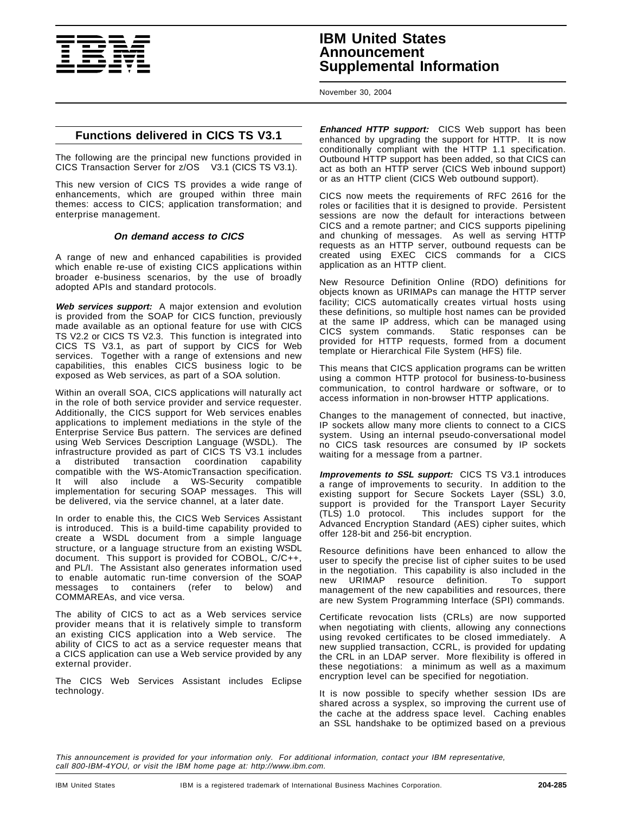

# **IBM United States Announcement Supplemental Information**

November 30, 2004

# **Functions delivered in CICS TS V3.1**

The following are the principal new functions provided in CICS Transaction Server for z/OS<sup>®</sup> V3.1 (CICS TS V3.1).

This new version of CICS TS provides a wide range of enhancements, which are grouped within three main themes: access to CICS; application transformation; and enterprise management.

### **On demand access to CICS**

A range of new and enhanced capabilities is provided which enable re-use of existing CICS applications within broader e-business scenarios, by the use of broadly adopted APIs and standard protocols.

**Web services support:** A major extension and evolution is provided from the SOAP for CICS function, previously made available as an optional feature for use with CICS TS V2.2 or CICS TS V2.3. This function is integrated into CICS TS V3.1, as part of support by CICS for Web services. Together with a range of extensions and new capabilities, this enables CICS business logic to be exposed as Web services, as part of a SOA solution.

Within an overall SOA, CICS applications will naturally act in the role of both service provider and service requester. Additionally, the CICS support for Web services enables applications to implement mediations in the style of the Enterprise Service Bus pattern. The services are defined using Web Services Description Language (WSDL). The infrastructure provided as part of CICS TS V3.1 includes a distributed transaction coordination capability compatible with the WS-AtomicTransaction specification. It will also include a WS-Security compatible implementation for securing SOAP messages. This will be delivered, via the service channel, at a later date.

In order to enable this, the CICS Web Services Assistant is introduced. This is a build-time capability provided to create a WSDL document from a simple language structure, or a language structure from an existing WSDL document. This support is provided for COBOL, C/C++, and PL/I. The Assistant also generates information used to enable automatic run-time conversion of the SOAP messages to containers (refer to below) and COMMAREAs, and vice versa.

The ability of CICS to act as a Web services service provider means that it is relatively simple to transform an existing CICS application into a Web service. The ability of CICS to act as a service requester means that a CICS application can use a Web service provided by any external provider.

The CICS Web Services Assistant includes Eclipse technology.

**Enhanced HTTP support:** CICS Web support has been enhanced by upgrading the support for HTTP. It is now conditionally compliant with the HTTP 1.1 specification. Outbound HTTP support has been added, so that CICS can act as both an HTTP server (CICS Web inbound support) or as an HTTP client (CICS Web outbound support).

CICS now meets the requirements of RFC 2616 for the roles or facilities that it is designed to provide. Persistent sessions are now the default for interactions between CICS and a remote partner; and CICS supports pipelining and chunking of messages. As well as serving HTTP requests as an HTTP server, outbound requests can be created using EXEC CICS commands for a CICS application as an HTTP client.

New Resource Definition Online (RDO) definitions for objects known as URIMAPs can manage the HTTP server facility; CICS automatically creates virtual hosts using these definitions, so multiple host names can be provided at the same IP address, which can be managed using<br>CICS system commands. Static responses can be Static responses can be provided for HTTP requests, formed from a document template or Hierarchical File System (HFS) file.

This means that CICS application programs can be written using a common HTTP protocol for business-to-business communication, to control hardware or software, or to access information in non-browser HTTP applications.

Changes to the management of connected, but inactive, IP sockets allow many more clients to connect to a CICS system. Using an internal pseudo-conversational model no CICS task resources are consumed by IP sockets waiting for a message from a partner.

**Improvements to SSL support:** CICS TS V3.1 introduces a range of improvements to security. In addition to the existing support for Secure Sockets Layer (SSL) 3.0, support is provided for the Transport Layer Security (TLS) 1.0 protocol. This includes support for the Advanced Encryption Standard (AES) cipher suites, which offer 128-bit and 256-bit encryption.

Resource definitions have been enhanced to allow the user to specify the precise list of cipher suites to be used in the negotiation. This capability is also included in the new URIMAP resource definition. management of the new capabilities and resources, there are new System Programming Interface (SPI) commands.

Certificate revocation lists (CRLs) are now supported when negotiating with clients, allowing any connections using revoked certificates to be closed immediately. A new supplied transaction, CCRL, is provided for updating the CRL in an LDAP server. More flexibility is offered in these negotiations: a minimum as well as a maximum encryption level can be specified for negotiation.

It is now possible to specify whether session IDs are shared across a sysplex, so improving the current use of the cache at the address space level. Caching enables an SSL handshake to be optimized based on a previous

This announcement is provided for your information only. For additional information, contact your IBM representative, call 800-IBM-4YOU, or visit the IBM home page at: http://www.ibm.com.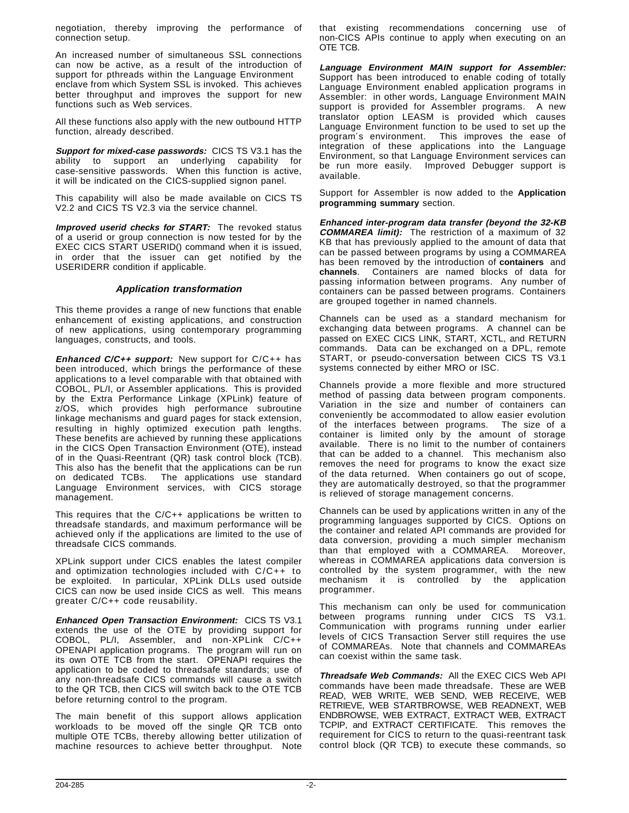negotiation, thereby improving the performance of connection setup.

An increased number of simultaneous SSL connections can now be active, as a result of the introduction of support for pthreads within the Language Environment<sup>®</sup> enclave from which System SSL is invoked. This achieves better throughput and improves the support for new functions such as Web services.

All these functions also apply with the new outbound HTTP function, already described.

**Support for mixed-case passwords:** CICS TS V3.1 has the ability to support an underlying capability for case-sensitive passwords. When this function is active, it will be indicated on the CICS-supplied signon panel.

This capability will also be made available on CICS TS V2.2 and CICS TS V2.3 via the service channel.

**Improved userid checks for START:** The revoked status of a userid or group connection is now tested for by the EXEC CICS START USERID() command when it is issued, in order that the issuer can get notified by the USERIDERR condition if applicable.

### **Application transformation**

This theme provides a range of new functions that enable enhancement of existing applications, and construction of new applications, using contemporary programming languages, constructs, and tools.

**Enhanced C/C++ support:** New support for C/C++ has been introduced, which brings the performance of these applications to a level comparable with that obtained with COBOL, PL/I, or Assembler applications. This is provided by the Extra Performance Linkage (XPLink) feature of z/OS, which provides high performance subroutine linkage mechanisms and guard pages for stack extension, resulting in highly optimized execution path lengths. These benefits are achieved by running these applications in the CICS Open Transaction Environment (OTE), instead of in the Quasi-Reentrant (QR) task control block (TCB). This also has the benefit that the applications can be run on dedicated TCBs. The applications use standard Language Environment services, with CICS storage management.

This requires that the C/C++ applications be written to threadsafe standards, and maximum performance will be achieved only if the applications are limited to the use of threadsafe CICS commands.

XPLink support under CICS enables the latest compiler and optimization technologies included with C/C++ to be exploited. In particular, XPLink DLLs used outside CICS can now be used inside CICS as well. This means greater C/C++ code reusability.

**Enhanced Open Transaction Environment:** CICS TS V3.1 extends the use of the OTE by providing support for COBOL, PL/I, Assembler, and non-XPLink C/C++ OPENAPI application programs. The program will run on its own OTE TCB from the start. OPENAPI requires the application to be coded to threadsafe standards; use of any non-threadsafe CICS commands will cause a switch to the QR TCB, then CICS will switch back to the OTE TCB before returning control to the program.

The main benefit of this support allows application workloads to be moved off the single QR TCB onto multiple OTE TCBs, thereby allowing better utilization of machine resources to achieve better throughput. Note

that existing recommendations concerning use of non-CICS APIs continue to apply when executing on an OTE TCB.

**Language Environment MAIN support for Assembler:** Support has been introduced to enable coding of totally Language Environment enabled application programs in Assembler: in other words, Language Environment MAIN support is provided for Assembler programs. A new translator option LEASM is provided which causes Language Environment function to be used to set up the program′s environment. This improves the ease of integration of these applications into the Language Environment, so that Language Environment services can be run more easily. Improved Debugger support is available.

Support for Assembler is now added to the **Application programming summary** section.

**Enhanced inter-program data transfer (beyond the 32-KB COMMAREA limit):** The restriction of a maximum of 32 KB that has previously applied to the amount of data that can be passed between programs by using a COMMAREA has been removed by the introduction of **containers** and **channels**. Containers are named blocks of data for passing information between programs. Any number of containers can be passed between programs. Containers are grouped together in named channels.

Channels can be used as a standard mechanism for exchanging data between programs. A channel can be passed on EXEC CICS LINK, START, XCTL, and RETURN commands. Data can be exchanged on a DPL, remote START, or pseudo-conversation between CICS TS V3.1 systems connected by either MRO or ISC.

Channels provide a more flexible and more structured method of passing data between program components. Variation in the size and number of containers can conveniently be accommodated to allow easier evolution of the interfaces between programs. The size of a container is limited only by the amount of storage available. There is no limit to the number of containers that can be added to a channel. This mechanism also removes the need for programs to know the exact size of the data returned. When containers go out of scope, they are automatically destroyed, so that the programmer is relieved of storage management concerns.

Channels can be used by applications written in any of the programming languages supported by CICS. Options on the container and related API commands are provided for data conversion, providing a much simpler mechanism than that employed with a COMMAREA. Moreover, whereas in COMMAREA applications data conversion is controlled by the system programmer, with the new mechanism it is controlled by the application programmer.

This mechanism can only be used for communication between programs running under CICS TS V3.1. Communication with programs running under earlier levels of CICS Transaction Server still requires the use of COMMAREAs. Note that channels and COMMAREAs can coexist within the same task.

**Threadsafe Web Commands:** All the EXEC CICS Web API commands have been made threadsafe. These are WEB READ, WEB WRITE, WEB SEND, WEB RECEIVE, WEB RETRIEVE, WEB STARTBROWSE, WEB READNEXT, WEB ENDBROWSE, WEB EXTRACT, EXTRACT WEB, EXTRACT TCPIP, and EXTRACT CERTIFICATE. This removes the requirement for CICS to return to the quasi-reentrant task control block (QR TCB) to execute these commands, so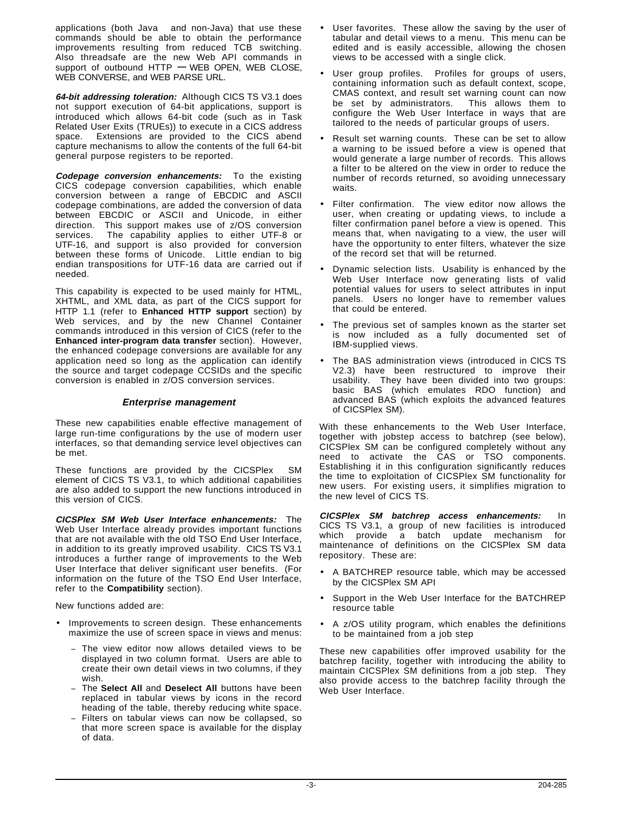applications (both Java™ and non-Java) that use these commands should be able to obtain the performance improvements resulting from reduced TCB switching. Also threadsafe are the new Web API commands in support of outbound HTTP **—** WEB OPEN, WEB CLOSE, WEB CONVERSE, and WEB PARSE URL.

**64-bit addressing toleration:** Although CICS TS V3.1 does not support execution of 64-bit applications, support is introduced which allows 64-bit code (such as in Task Related User Exits (TRUEs)) to execute in a CICS address space. Extensions are provided to the CICS abend capture mechanisms to allow the contents of the full 64-bit general purpose registers to be reported.

**Codepage conversion enhancements:** To the existing CICS codepage conversion capabilities, which enable conversion between a range of EBCDIC and ASCII codepage combinations, are added the conversion of data between EBCDIC or ASCII and Unicode, in either direction. This support makes use of z/OS conversion services. The capability applies to either UTF-8 or UTF-16, and support is also provided for conversion between these forms of Unicode. Little endian to big endian transpositions for UTF-16 data are carried out if needed.

This capability is expected to be used mainly for HTML, XHTML, and XML data, as part of the CICS support for HTTP 1.1 (refer to **Enhanced HTTP support** section) by Web services, and by the new Channel Container commands introduced in this version of CICS (refer to the **Enhanced inter-program data transfer** section). However, the enhanced codepage conversions are available for any application need so long as the application can identify the source and target codepage CCSIDs and the specific conversion is enabled in z/OS conversion services.

### **Enterprise management**

These new capabilities enable effective management of large run-time configurations by the use of modern user interfaces, so that demanding service level objectives can be met.

These functions are provided by the CICSPlex® SM element of CICS TS V3.1, to which additional capabilities are also added to support the new functions introduced in this version of CICS.

**CICSPlex SM Web User Interface enhancements:** The Web User Interface already provides important functions that are not available with the old TSO End User Interface, in addition to its greatly improved usability. CICS TS V3.1 introduces a further range of improvements to the Web User Interface that deliver significant user benefits. (For information on the future of the TSO End User Interface, refer to the **Compatibility** section).

New functions added are:

- Improvements to screen design. These enhancements maximize the use of screen space in views and menus:
	- The view editor now allows detailed views to be displayed in two column format. Users are able to create their own detail views in two columns, if they wish.
	- The Select All and Deselect All buttons have been replaced in tabular views by icons in the record heading of the table, thereby reducing white space.
	- Filters on tabular views can now be collapsed, so that more screen space is available for the display of data.
- User favorites. These allow the saving by the user of tabular and detail views to a menu. This menu can be edited and is easily accessible, allowing the chosen views to be accessed with a single click.
- User group profiles. Profiles for groups of users, containing information such as default context, scope, CMAS context, and result set warning count can now<br>be set by administrators. This allows them to be set by administrators. configure the Web User Interface in ways that are tailored to the needs of particular groups of users.
- Result set warning counts. These can be set to allow a warning to be issued before a view is opened that would generate a large number of records. This allows a filter to be altered on the view in order to reduce the number of records returned, so avoiding unnecessary waits.
- Filter confirmation. The view editor now allows the user, when creating or updating views, to include a filter confirmation panel before a view is opened. This means that, when navigating to a view, the user will have the opportunity to enter filters, whatever the size of the record set that will be returned.
- Dynamic selection lists. Usability is enhanced by the Web User Interface now generating lists of valid potential values for users to select attributes in input panels. Users no longer have to remember values that could be entered.
- The previous set of samples known as the starter set is now included as a fully documented set of IBM-supplied views.
- The BAS administration views (introduced in CICS TS V2.3) have been restructured to improve their usability. They have been divided into two groups: basic BAS (which emulates RDO function) and advanced BAS (which exploits the advanced features of CICSPlex SM).

With these enhancements to the Web User Interface, together with jobstep access to batchrep (see below), CICSPlex SM can be configured completely without any need to activate the CAS or TSO components. Establishing it in this configuration significantly reduces the time to exploitation of CICSPlex SM functionality for new users. For existing users, it simplifies migration to the new level of CICS TS.

**CICSPlex SM batchrep access enhancements:** In CICS TS V3.1, a group of new facilities is introduced which provide a batch update mechanism for maintenance of definitions on the CICSPlex SM data repository. These are:

- A BATCHREP resource table, which may be accessed by the CICSPlex SM API
- Support in the Web User Interface for the BATCHREP resource table
- A z/OS utility program, which enables the definitions to be maintained from a job step

These new capabilities offer improved usability for the batchrep facility, together with introducing the ability to maintain CICSPlex SM definitions from a job step. They also provide access to the batchrep facility through the Web User Interface.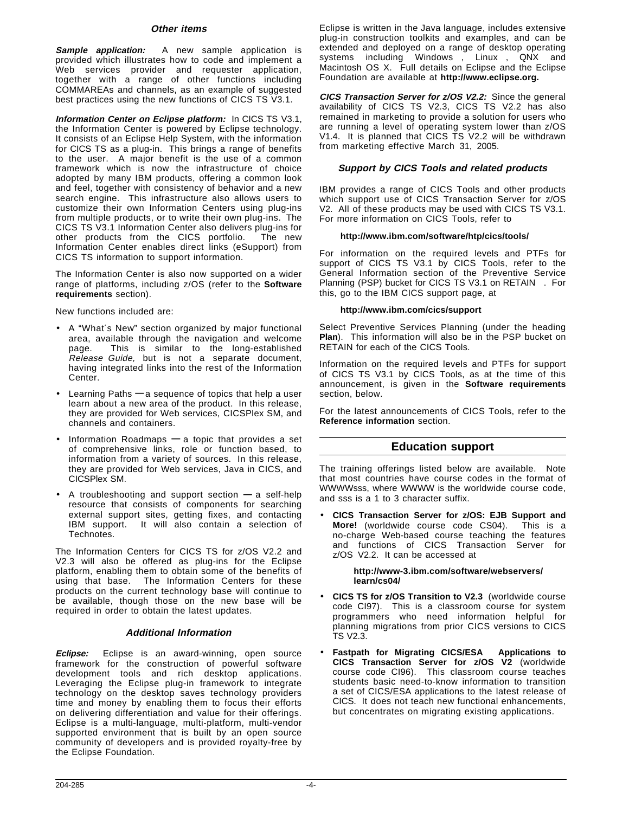### **Other items**

**Sample application:** A new sample application is provided which illustrates how to code and implement a Web services provider and requester application, together with a range of other functions including COMMAREAs and channels, as an example of suggested best practices using the new functions of CICS TS V3.1.

**Information Center on Eclipse platform:** In CICS TS V3.1, the Information Center is powered by Eclipse technology. It consists of an Eclipse Help System, with the information for CICS TS as a plug-in. This brings a range of benefits to the user. A major benefit is the use of a common framework which is now the infrastructure of choice adopted by many IBM products, offering a common look and feel, together with consistency of behavior and a new search engine. This infrastructure also allows users to customize their own Information Centers using plug-ins from multiple products, or to write their own plug-ins. The CICS TS V3.1 Information Center also delivers plug-ins for other products from the CICS portfolio. The new Information Center enables direct links (eSupport) from CICS TS information to support information.

The Information Center is also now supported on a wider range of platforms, including z/OS (refer to the **Software requirements** section).

New functions included are:

- A "What′s New" section organized by major functional area, available through the navigation and welcome page. This is similar to the long-established Release Guide, but is not a separate document, having integrated links into the rest of the Information Center.
- Learning Paths **—** a sequence of topics that help a user learn about a new area of the product. In this release, they are provided for Web services, CICSPlex SM, and channels and containers.
- Information Roadmaps **—** a topic that provides a set of comprehensive links, role or function based, to information from a variety of sources. In this release, they are provided for Web services, Java in CICS, and CICSPlex SM.
- A troubleshooting and support section **—** a self-help resource that consists of components for searching external support sites, getting fixes, and contacting IBM support. It will also contain a selection of Technotes.

The Information Centers for CICS TS for z/OS V2.2 and V2.3 will also be offered as plug-ins for the Eclipse platform, enabling them to obtain some of the benefits of using that base. The Information Centers for these products on the current technology base will continue to be available, though those on the new base will be required in order to obtain the latest updates.

### **Additional Information**

**Eclipse:** Eclipse is an award-winning, open source framework for the construction of powerful software development tools and rich desktop applications. Leveraging the Eclipse plug-in framework to integrate technology on the desktop saves technology providers time and money by enabling them to focus their efforts on delivering differentiation and value for their offerings. Eclipse is a multi-language, multi-platform, multi-vendor supported environment that is built by an open source community of developers and is provided royalty-free by the Eclipse Foundation.

Eclipse is written in the Java language, includes extensive plug-in construction toolkits and examples, and can be extended and deployed on a range of desktop operating systems including Windows™, Linux™, QNX and Macintosh OS X. Full details on Eclipse and the Eclipse Foundation are available at **http://www.eclipse.org.**

**CICS Transaction Server for z/OS V2.2:** Since the general availability of CICS TS V2.3, CICS TS V2.2 has also remained in marketing to provide a solution for users who are running a level of operating system lower than z/OS V1.4. It is planned that CICS TS V2.2 will be withdrawn from marketing effective March 31, 2005.

### **Support by CICS Tools and related products**

IBM provides a range of CICS Tools and other products which support use of CICS Transaction Server for z/OS V2. All of these products may be used with CICS TS V3.1. For more information on CICS Tools, refer to

### **http://www.ibm.com/software/htp/cics/tools/**

For information on the required levels and PTFs for support of CICS TS V3.1 by CICS Tools, refer to the General Information section of the Preventive Service Planning (PSP) bucket for CICS TS V3.1 on RETAIN®. For this, go to the IBM CICS support page, at

### **http://www.ibm.com/cics/support**

Select Preventive Services Planning (under the heading **Plan**). This information will also be in the PSP bucket on RETAIN for each of the CICS Tools.

Information on the required levels and PTFs for support of CICS TS V3.1 by CICS Tools, as at the time of this announcement, is given in the **Software requirements** section, below.

For the latest announcements of CICS Tools, refer to the **Reference information** section.

# **Education support**

The training offerings listed below are available. Note that most countries have course codes in the format of WWWWsss, where WWWW is the worldwide course code, and sss is a 1 to 3 character suffix.

• **CICS Transaction Server for z/OS: EJB Support and More!** (worldwide course code CS04). no-charge Web-based course teaching the features and functions of CICS Transaction Server for z/OS V2.2. It can be accessed at

### **http://www-3.ibm.com/software/webservers/ learn/cs04/**

- **CICS TS for z/OS Transition to V2.3** (worldwide course code CI97). This is a classroom course for system programmers who need information helpful for planning migrations from prior CICS versions to CICS TS V2.3.
- **Fastpath for Migrating CICS/ESA Applications to CICS Transaction Server for z/OS V2** (worldwide course code CI96). This classroom course teaches students basic need-to-know information to transition a set of CICS/ESA applications to the latest release of CICS. It does not teach new functional enhancements, but concentrates on migrating existing applications.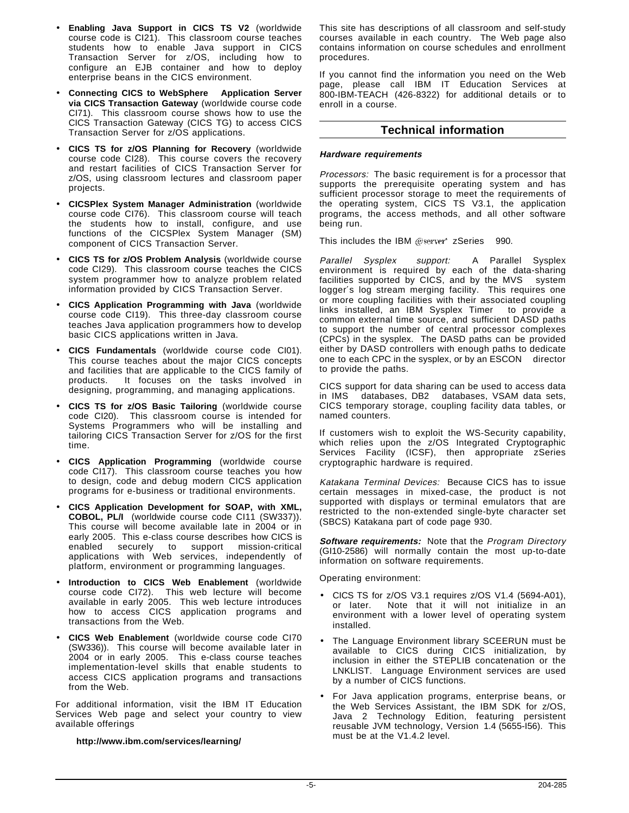- **Enabling Java Support in CICS TS V2** (worldwide course code is CI21). This classroom course teaches students how to enable Java support in CICS Transaction Server for z/OS, including how to configure an EJB container and how to deploy enterprise beans in the CICS environment.
- **Connecting CICS to WebSphere Application Server via CICS Transaction Gateway** (worldwide course code CI71). This classroom course shows how to use the CICS Transaction Gateway (CICS TG) to access CICS Transaction Server for z/OS applications.
- **CICS TS for z/OS Planning for Recovery** (worldwide course code CI28). This course covers the recovery and restart facilities of CICS Transaction Server for z/OS, using classroom lectures and classroom paper projects.
- **CICSPlex System Manager Administration** (worldwide course code CI76). This classroom course will teach the students how to install, configure, and use functions of the CICSPlex System Manager (SM) component of CICS Transaction Server.
- **CICS TS for z/OS Problem Analysis** (worldwide course code CI29). This classroom course teaches the CICS system programmer how to analyze problem related information provided by CICS Transaction Server.
- **CICS Application Programming with Java** (worldwide course code CI19). This three-day classroom course teaches Java application programmers how to develop basic CICS applications written in Java.
- **CICS Fundamentals** (worldwide course code CI01). This course teaches about the major CICS concepts and facilities that are applicable to the CICS family of products. It focuses on the tasks involved in designing, programming, and managing applications.
- **CICS TS for z/OS Basic Tailoring** (worldwide course code CI20). This classroom course is intended for Systems Programmers who will be installing and tailoring CICS Transaction Server for z/OS for the first time.
- **CICS Application Programming** (worldwide course code CI17). This classroom course teaches you how to design, code and debug modern CICS application programs for e-business or traditional environments.
- **CICS Application Development for SOAP, with XML, COBOL, PL/I** (worldwide course code CI11 (SW337)). This course will become available late in 2004 or in early 2005. This e-class course describes how CICS is enabled securely to support mission-critical applications with Web services, independently of platform, environment or programming languages.
- **Introduction to CICS Web Enablement** (worldwide course code CI72). This web lecture will become available in early 2005. This web lecture introduces how to access CICS application programs and transactions from the Web.
- **CICS Web Enablement** (worldwide course code CI70 (SW336)). This course will become available later in 2004 or in early 2005. This e-class course teaches implementation-level skills that enable students to access CICS application programs and transactions from the Web.

For additional information, visit the IBM IT Education Services Web page and select your country to view available offerings

**http://www.ibm.com/services/learning/**

This site has descriptions of all classroom and self-study courses available in each country. The Web page also contains information on course schedules and enrollment procedures.

If you cannot find the information you need on the Web page, please call IBM IT Education Services at 800-IBM-TEACH (426-8322) for additional details or to enroll in a course.

# **Technical information**

### **Hardware requirements**

Processors: The basic requirement is for a processor that supports the prerequisite operating system and has sufficient processor storage to meet the requirements of the operating system, CICS TS V3.1, the application programs, the access methods, and all other software being run.

This includes the IBM @server\* zSeries<sup>®</sup> 990.

Parallel Sysplex® support: A Parallel Sysplex environment is required by each of the data-sharing facilities supported by CICS, and by the MVS<sup>IM</sup> system logger′s log stream merging facility. This requires one or more coupling facilities with their associated coupling links installed, an IBM Sysplex Timer<sup>®</sup> to provide a common external time source, and sufficient DASD paths to support the number of central processor complexes (CPCs) in the sysplex. The DASD paths can be provided either by DASD controllers with enough paths to dedicate one to each CPC in the sysplex, or by an ESCON<sup>®</sup> director to provide the paths.

CICS support for data sharing can be used to access data in IMS<sup>TM</sup> databases, DB2® databases, VSAM data sets, CICS temporary storage, coupling facility data tables, or named counters.

If customers wish to exploit the WS-Security capability, which relies upon the z/OS Integrated Cryptographic Services Facility (ICSF), then appropriate zSeries cryptographic hardware is required.

Katakana Terminal Devices: Because CICS has to issue certain messages in mixed-case, the product is not supported with displays or terminal emulators that are restricted to the non-extended single-byte character set (SBCS) Katakana part of code page 930.

**Software requirements:** Note that the Program Directory (GI10-2586) will normally contain the most up-to-date information on software requirements.

Operating environment:

- CICS TS for z/OS V3.1 requires z/OS V1.4 (5694-A01), or later. Note that it will not initialize in an environment with a lower level of operating system installed.
- The Language Environment library SCEERUN must be available to CICS during CICS initialization, by inclusion in either the STEPLIB concatenation or the LNKLIST. Language Environment services are used by a number of CICS functions.
- For Java application programs, enterprise beans, or the Web Services Assistant, the IBM SDK for z/OS, Java 2 Technology Edition, featuring persistent reusable JVM technology, Version 1.4 (5655-I56). This must be at the V1.4.2 level.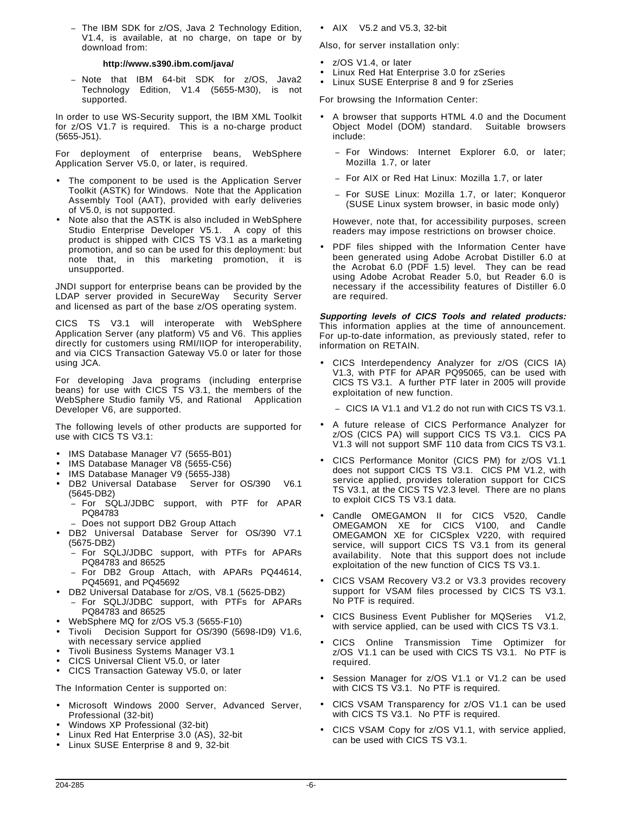− The IBM SDK for z/OS, Java 2 Technology Edition, V1.4, is available, at no charge, on tape or by download from:

### **http://www.s390.ibm.com/java/**

− Note that IBM 64-bit SDK for z/OS, Java2 Technology Edition, V1.4 (5655-M30), is not supported.

In order to use WS-Security support, the IBM XML Toolkit for z/OS V1.7 is required. This is a no-charge product (5655-J51).

For deployment of enterprise beans, WebSphere Application Server V5.0, or later, is required.

- The component to be used is the Application Server Toolkit (ASTK) for Windows. Note that the Application Assembly Tool (AAT), provided with early deliveries of V5.0, is not supported.
- Note also that the ASTK is also included in WebSphere Studio Enterprise Developer V5.1. A copy of this product is shipped with CICS TS V3.1 as a marketing promotion, and so can be used for this deployment: but note that, in this marketing promotion, it is unsupported.

JNDI support for enterprise beans can be provided by the LDAP server provided in SecureWay<sup>®</sup> Security Server and licensed as part of the base z/OS operating system.

CICS TS V3.1 will interoperate with WebSphere Application Server (any platform) V5 and V6. This applies directly for customers using RMI/IIOP for interoperability, and via CICS Transaction Gateway V5.0 or later for those using JCA.

For developing Java programs (including enterprise beans) for use with CICS TS V3.1, the members of the WebSphere Studio family V5, and Rational® Application Developer V6, are supported.

The following levels of other products are supported for use with CICS TS V3.1:

- IMS Database Manager V7 (5655-B01)
- IMS Database Manager V8 (5655-C56)
- IMS Database Manager V9 (5655-J38)
- DB2 Universal Database® Server for OS/390® V6.1 (5645-DB2)
	- For SQLJ/JDBC support, with PTF for APAR PQ84783
	- Does not support DB2 Group Attach
- DB2 Universal Database Server for OS/390 V7.1 (5675-DB2)
	- − For SQLJ/JDBC support, with PTFs for APARs PQ84783 and 86525
	- − For DB2 Group Attach, with APARs PQ44614, PQ45691, and PQ45692
- DB2 Universal Database for z/OS, V8.1 (5625-DB2) For SQLJ/JDBC support, with PTFs for APARs
- PQ84783 and 86525
- WebSphere MQ for z/OS V5.3 (5655-F10)
- Tivoli Decision Support for OS/390 (5698-ID9) V1.6, with necessary service applied
- Tivoli Business Systems Manager V3.1
- CICS Universal Client V5.0, or later
- CICS Transaction Gateway V5.0, or later

The Information Center is supported on:

- Microsoft Windows 2000 Server, Advanced Server, Professional (32-bit)
- Windows XP Professional (32-bit)
- Linux Red Hat Enterprise 3.0 (AS), 32-bit
- Linux SUSE Enterprise 8 and 9, 32-bit

• AIX $@V5.2$  and V5.3, 32-bit

Also, for server installation only:

- z/OS V1.4, or later
- Linux Red Hat Enterprise 3.0 for zSeries
- Linux SUSE Enterprise 8 and 9 for zSeries

For browsing the Information Center:

- A browser that supports HTML 4.0 and the Document Object Model (DOM) standard. Suitable browsers include:
	- − For Windows: Internet Explorer 6.0, or later; Mozilla 1.7, or later
	- − For AIX or Red Hat Linux: Mozilla 1.7, or later
	- − For SUSE Linux: Mozilla 1.7, or later; Konqueror (SUSE Linux system browser, in basic mode only)

However, note that, for accessibility purposes, screen readers may impose restrictions on browser choice.

• PDF files shipped with the Information Center have been generated using Adobe Acrobat Distiller 6.0 at the Acrobat 6.0 (PDF 1.5) level. They can be read using Adobe Acrobat Reader 5.0, but Reader 6.0 is necessary if the accessibility features of Distiller 6.0 are required.

**Supporting levels of CICS Tools and related products:** This information applies at the time of announcement. For up-to-date information, as previously stated, refer to information on RETAIN.

- CICS Interdependency Analyzer for z/OS (CICS IA) V1.3, with PTF for APAR PQ95065, can be used with CICS TS V3.1. A further PTF later in 2005 will provide exploitation of new function.
	- − CICS IA V1.1 and V1.2 do not run with CICS TS V3.1.
- A future release of CICS Performance Analyzer for z/OS (CICS PA) will support CICS TS V3.1. CICS PA V1.3 will not support SMF 110 data from CICS TS V3.1.
- CICS Performance Monitor (CICS PM) for z/OS V1.1 does not support CICS TS V3.1. CICS PM V1.2, with service applied, provides toleration support for CICS TS V3.1, at the CICS TS V2.3 level. There are no plans to exploit CICS TS V3.1 data.
- Candle OMEGAMON II for CICS V520, Candle OMEGAMON XE for CICS V100, and Candle OMEGAMON XE for CICSplex V220, with required service, will support CICS TS V3.1 from its general availability. Note that this support does not include exploitation of the new function of CICS TS V3.1.
- CICS VSAM Recovery V3.2 or V3.3 provides recovery support for VSAM files processed by CICS TS V3.1. No PTF is required.
- CICS Business Event Publisher for MQSeries<sup>®</sup> V1.2, with service applied, can be used with CICS TS V3.1.
- CICS Online Transmission Time Optimizer for z/OS V1.1 can be used with CICS TS V3.1. No PTF is required.
- Session Manager for z/OS V1.1 or V1.2 can be used with CICS TS V3.1. No PTF is required.
- CICS VSAM Transparency for z/OS V1.1 can be used with CICS TS V3.1. No PTF is required.
- CICS VSAM Copy for z/OS V1.1, with service applied, can be used with CICS TS V3.1.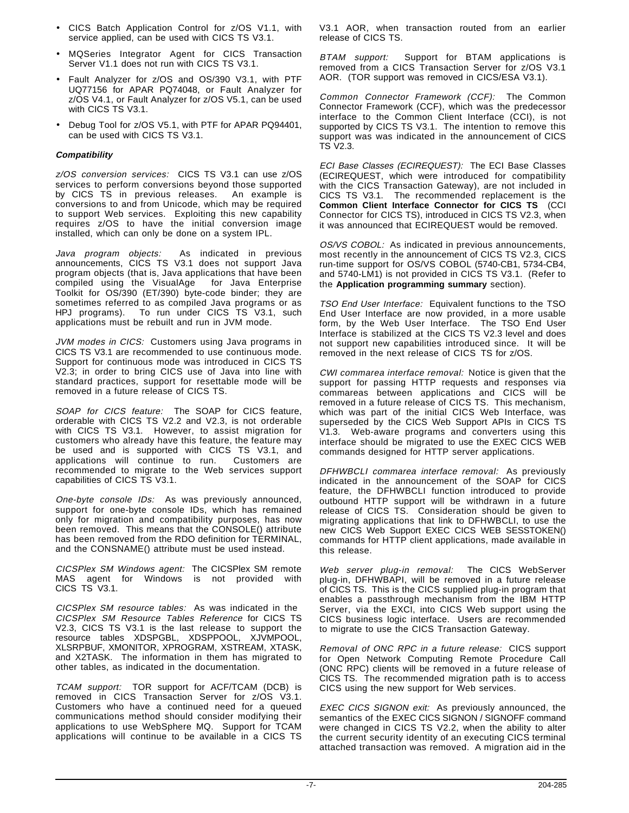- CICS Batch Application Control for z/OS V1.1, with service applied, can be used with CICS TS V3.1.
- MQSeries Integrator Agent for CICS Transaction Server V1.1 does not run with CICS TS V3.1.
- Fault Analyzer for z/OS and OS/390 V3.1, with PTF UQ77156 for APAR PQ74048, or Fault Analyzer for z/OS V4.1, or Fault Analyzer for z/OS V5.1, can be used with CICS TS V3.1.
- Debug Tool for z/OS V5.1, with PTF for APAR PQ94401, can be used with CICS TS V3.1.

### **Compatibility**

z/OS conversion services: CICS TS V3.1 can use z/OS services to perform conversions beyond those supported by CICS TS in previous releases. An example is conversions to and from Unicode, which may be required to support Web services. Exploiting this new capability requires z/OS to have the initial conversion image installed, which can only be done on a system IPL.

Java program objects: As indicated in previous announcements, CICS TS V3.1 does not support Java program objects (that is, Java applications that have been compiled using the VisualAge<sup>®</sup> for Java Enterprise Toolkit for OS/390 (ET/390) byte-code binder; they are sometimes referred to as compiled Java programs or as HPJ programs). To run under CICS TS V3.1, such applications must be rebuilt and run in JVM mode.

JVM modes in CICS: Customers using Java programs in CICS TS V3.1 are recommended to use continuous mode. Support for continuous mode was introduced in CICS TS V2.3; in order to bring CICS use of Java into line with standard practices, support for resettable mode will be removed in a future release of CICS TS.

SOAP for CICS feature: The SOAP for CICS feature, orderable with CICS TS V2.2 and V2.3, is not orderable with CICS TS V3.1. However, to assist migration for customers who already have this feature, the feature may be used and is supported with CICS TS V3.1, and applications will continue to run. Customers are recommended to migrate to the Web services support capabilities of CICS TS V3.1.

One-byte console IDs: As was previously announced, support for one-byte console IDs, which has remained only for migration and compatibility purposes, has now been removed. This means that the CONSOLE() attribute has been removed from the RDO definition for TERMINAL, and the CONSNAME() attribute must be used instead.

CICSPlex SM Windows agent: The CICSPlex SM remote MAS agent for Windows is not provided with CICS TS V3.1.

CICSPlex SM resource tables: As was indicated in the CICSPlex SM Resource Tables Reference for CICS TS V2.3, CICS TS V3.1 is the last release to support the resource tables XDSPGBL, XDSPPOOL, XJVMPOOL, XLSRPBUF, XMONITOR, XPROGRAM, XSTREAM, XTASK, and X2TASK. The information in them has migrated to other tables, as indicated in the documentation.

TCAM support: TOR support for ACF/TCAM (DCB) is removed in CICS Transaction Server for z/OS V3.1. Customers who have a continued need for a queued communications method should consider modifying their applications to use WebSphere MQ. Support for TCAM applications will continue to be available in a CICS TS

V3.1 AOR, when transaction routed from an earlier release of CICS TS.

BTAM support: Support for BTAM applications is removed from a CICS Transaction Server for z/OS V3.1 AOR. (TOR support was removed in CICS/ESA V3.1).

Common Connector Framework (CCF): The Common Connector Framework (CCF), which was the predecessor interface to the Common Client Interface (CCI), is not supported by CICS TS V3.1. The intention to remove this support was was indicated in the announcement of CICS TS V2.3.

ECI Base Classes (ECIREQUEST): The ECI Base Classes (ECIREQUEST, which were introduced for compatibility with the CICS Transaction Gateway), are not included in CICS TS V3.1. The recommended replacement is the **Common Client Interface Connector for CICS TS** (CCI Connector for CICS TS), introduced in CICS TS V2.3, when it was announced that ECIREQUEST would be removed.

OS/VS COBOL: As indicated in previous announcements, most recently in the announcement of CICS TS V2.3, CICS run-time support for OS/VS COBOL (5740-CB1, 5734-CB4, and 5740-LM1) is not provided in CICS TS V3.1. (Refer to the **Application programming summary** section).

TSO End User Interface: Equivalent functions to the TSO End User Interface are now provided, in a more usable form, by the Web User Interface. The TSO End User Interface is stabilized at the CICS TS V2.3 level and does not support new capabilities introduced since. It will be removed in the next release of CICS TS for z/OS.

CWI commarea interface removal: Notice is given that the support for passing HTTP requests and responses via commareas between applications and CICS will be removed in a future release of CICS TS. This mechanism, which was part of the initial CICS Web Interface, was superseded by the CICS Web Support APIs in CICS TS V1.3. Web-aware programs and converters using this interface should be migrated to use the EXEC CICS WEB commands designed for HTTP server applications.

DFHWBCLI commarea interface removal: As previously indicated in the announcement of the SOAP for CICS feature, the DFHWBCLI function introduced to provide outbound HTTP support will be withdrawn in a future release of CICS TS. Consideration should be given to migrating applications that link to DFHWBCLI, to use the new CICS Web Support EXEC CICS WEB SESSTOKEN() commands for HTTP client applications, made available in this release.

Web server plug-in removal: The CICS WebServer plug-in, DFHWBAPI, will be removed in a future release of CICS TS. This is the CICS supplied plug-in program that enables a passthrough mechanism from the IBM HTTP Server, via the EXCI, into CICS Web support using the CICS business logic interface. Users are recommended to migrate to use the CICS Transaction Gateway.

Removal of ONC RPC in a future release: CICS support for Open Network Computing Remote Procedure Call (ONC RPC) clients will be removed in a future release of CICS TS. The recommended migration path is to access CICS using the new support for Web services.

EXEC CICS SIGNON exit: As previously announced, the semantics of the EXEC CICS SIGNON / SIGNOFF command were changed in CICS TS V2.2, when the ability to alter the current security identity of an executing CICS terminal attached transaction was removed. A migration aid in the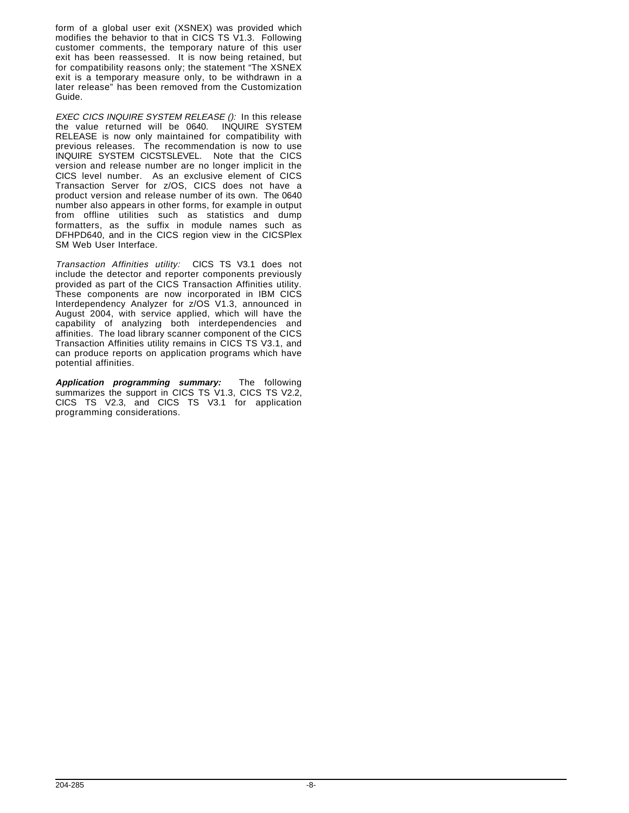form of a global user exit (XSNEX) was provided which modifies the behavior to that in CICS TS V1.3. Following customer comments, the temporary nature of this user exit has been reassessed. It is now being retained, but for compatibility reasons only; the statement "The XSNEX exit is a temporary measure only, to be withdrawn in a later release" has been removed from the Customization Guide.

EXEC CICS INQUIRE SYSTEM RELEASE (): In this release the value returned will be 0640. INQUIRE SYSTEM RELEASE is now only maintained for compatibility with previous releases. The recommendation is now to use INQUIRE SYSTEM CICSTSLEVEL. Note that the CICS version and release number are no longer implicit in the CICS level number. As an exclusive element of CICS Transaction Server for z/OS, CICS does not have a product version and release number of its own. The 0640 number also appears in other forms, for example in output from offline utilities such as statistics and dump formatters, as the suffix in module names such as DFHPD640, and in the CICS region view in the CICSPlex SM Web User Interface.

Transaction Affinities utility: CICS TS V3.1 does not include the detector and reporter components previously provided as part of the CICS Transaction Affinities utility. These components are now incorporated in IBM CICS Interdependency Analyzer for z/OS V1.3, announced in August 2004, with service applied, which will have the capability of analyzing both interdependencies and affinities. The load library scanner component of the CICS Transaction Affinities utility remains in CICS TS V3.1, and can produce reports on application programs which have potential affinities.

**Application programming summary:** The following summarizes the support in CICS TS V1.3, CICS TS V2.2, CICS TS V2.3, and CICS TS V3.1 for application programming considerations.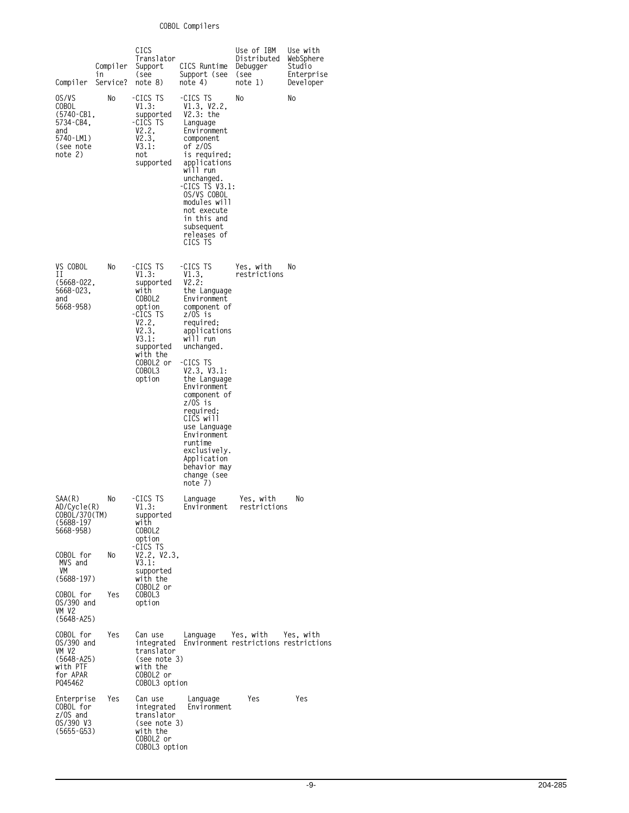# **COBOL Compilers**

| in<br>Compiler                                                                        | Compiler<br>Service? | CICS<br>Translator<br>Support<br>see)<br>note 8)                                                                                                            | CICS Runtime<br>Support (see<br>note 4)                                                                                                                                                                                                                                                                                                                                       | Use of IBM<br>Distributed<br>Debugger<br>(see<br>note 1) | Use with<br>WebSphere<br>Studio<br>Enterprise<br>Developer |
|---------------------------------------------------------------------------------------|----------------------|-------------------------------------------------------------------------------------------------------------------------------------------------------------|-------------------------------------------------------------------------------------------------------------------------------------------------------------------------------------------------------------------------------------------------------------------------------------------------------------------------------------------------------------------------------|----------------------------------------------------------|------------------------------------------------------------|
| OS/VS<br>COBOL<br>(5740-CB1,<br>5734-CB4.<br>and<br>5740-LM1)<br>(see note<br>note 2) | No                   | -CICS TS<br>V1.3:<br>supported<br>-CICS TS<br>V2.2,<br>V2.3,<br>V3.1:<br>not<br>supported                                                                   | -CICS TS<br>V1.3, V2.2,<br>$V2.3:$ the<br>Language<br>Environment<br>component<br>of z/OS<br>is required;<br>applications<br>will run<br>unchanged.<br>-CICS TS V3.1:<br>OS/VS COBOL<br>modules will<br>not execute<br>in this and<br>subsequent<br>releases of<br>CICS TS                                                                                                    | No                                                       | No                                                         |
| VS COBOL<br>П<br>$(5668-022,$<br>5668-023,<br>and<br>5668-958)                        | No                   | -CICS TS<br>VI.3:<br>supported<br>with<br>COBOL2<br>option<br>-CICS TS<br>V2.2,<br>V2.3,<br>V3.1:<br>supported<br>with the<br>COBOL2 or<br>COBOL3<br>option | -CICS TS<br>V1.3.<br>V2.2:<br>the Language<br>Environment<br>component of<br>z/OS is<br>required:<br>applications<br>will run<br>unchanged.<br>-CICS TS<br>V2.3, V3.1:<br>the Language<br>Environment<br>component of<br>z/OS is<br>required;<br>CICS will<br>use Language<br>Environment<br>runtime<br>exclusively.<br>Application<br>behavior may<br>change (see<br>note 7) | Yes. with<br>restrictions                                | No                                                         |
| SAA(R)<br>AD/Cycle(R)<br>COBOL/370(TM)<br>(5688-197<br>5668-958)                      | No                   | -CICS TS<br>V1.3:<br>supported<br>with<br>COBOL2<br>option                                                                                                  | Language<br>Environment                                                                                                                                                                                                                                                                                                                                                       | Yes, with<br>restrictions                                | No                                                         |
| COBOL for<br>MVS and<br>VM<br>$(5688-197)$                                            | No                   | -CICS TS<br>V2.2, V2.3,<br>V3.1:<br>supported<br>with the<br>COBOL2 or                                                                                      |                                                                                                                                                                                                                                                                                                                                                                               |                                                          |                                                            |
| COBOL for<br>0S/390 and<br>VM V2<br>$(5648 - A25)$                                    | Yes                  | COBOL3<br>option                                                                                                                                            |                                                                                                                                                                                                                                                                                                                                                                               |                                                          |                                                            |
| COBOL for<br>0S/390 and<br>VM V2<br>$(5648 - A25)$<br>with PTF<br>for APAR<br>PQ45462 | Yes                  | Can use<br>integrated<br>translator<br>(see note 3)<br>with the<br>COBOL2 or<br>COBOL3 option                                                               | Language                                                                                                                                                                                                                                                                                                                                                                      | Yes, with<br>Environment restrictions restrictions       | Yes, with                                                  |
| Enterprise<br>COBOL for<br>z/OS and<br>OS/390 V3<br>$(5655 - 653)$                    | Yes                  | Can use<br>integrated<br>translator<br>(see note 3)<br>with the<br>COBOL2 or<br>COBOL3 option                                                               | Language<br>Environment                                                                                                                                                                                                                                                                                                                                                       | Yes                                                      | Yes                                                        |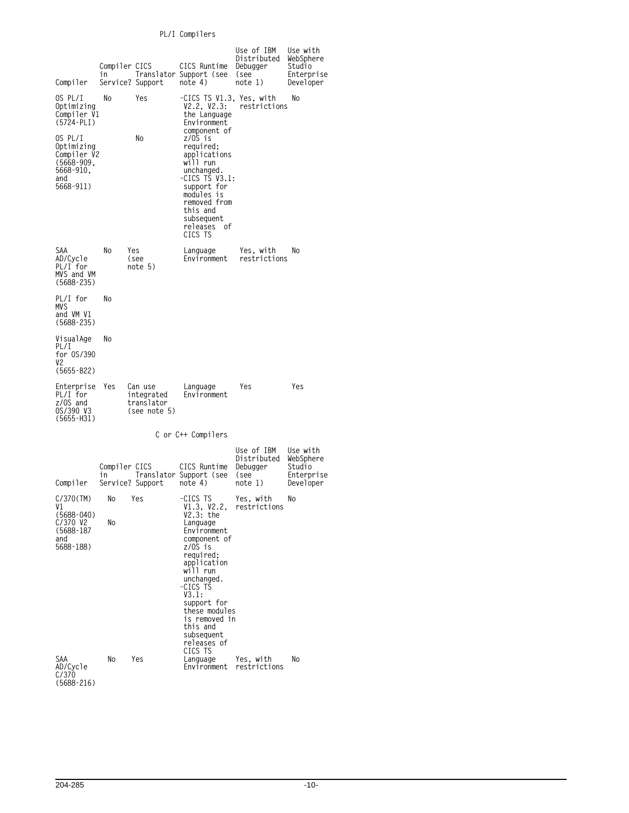# **PL/I Compilers**

| Compiler                                                                                | Compiler CICS<br>in | Service? Support                                    | CICS Runtime<br>Translator Support (see<br>note 4)                                                                                                                                     | Use of IBM<br>Distributed<br>Debugger<br>(see<br>note 1) | Use with<br>WebSphere<br>Studio<br>Enterprise<br>Developer |
|-----------------------------------------------------------------------------------------|---------------------|-----------------------------------------------------|----------------------------------------------------------------------------------------------------------------------------------------------------------------------------------------|----------------------------------------------------------|------------------------------------------------------------|
| OS PL/I<br>Optimizing<br>Compiler V1<br>$(5724 - PLI)$                                  | No.                 | Yes                                                 | -CICS TS V1.3, Yes, with<br>V2.2, V2.3:<br>the Language<br>Environment<br>component of                                                                                                 | restrictions                                             | No                                                         |
| OS PL/I<br>Optimizing<br>Compiler V2<br>$(5668 - 909,$<br>5668-910,<br>and<br>5668-911) |                     | No                                                  | z/OS is<br>required;<br>applications<br>will run<br>unchanged.<br>-CICS TS $V3.1:$<br>support for<br>modules is<br>removed from<br>this and<br>subsequent<br>releases<br>of<br>CICS TS |                                                          |                                                            |
| SAA<br>AD/Cycle<br>PL/I for<br>MVS and VM<br>$(5688 - 235)$                             | No                  | Yes<br>see)<br>note 5)                              | Language<br>Environment                                                                                                                                                                | Yes, with<br>restrictions                                | No                                                         |
| PL/I for<br>MVS<br>and VM V1<br>$(5688 - 235)$                                          | No                  |                                                     |                                                                                                                                                                                        |                                                          |                                                            |
| VisualAge<br>PL/I<br>for 0S/390<br>٧2<br>$(5655 - B22)$                                 | No                  |                                                     |                                                                                                                                                                                        |                                                          |                                                            |
| Enterprise<br>PL/I for<br>$z/0S$ and<br>OS/390 V3<br>(5655-H31)                         | Yes                 | Can use<br>integrated<br>translator<br>(see note 5) | Language<br>Environment                                                                                                                                                                | Yes                                                      | Yes                                                        |
|                                                                                         |                     |                                                     | C or C++ Compilers                                                                                                                                                                     |                                                          |                                                            |
|                                                                                         | Compiler CICS<br>٦n |                                                     | CICS Runtime<br>Translator Support (see                                                                                                                                                | Use of IBM<br>Distributed<br>Debugger<br>(see            | Use with<br>WebSphere<br>Studio<br>Enterprise              |
| Compiler                                                                                |                     | Service? Support                                    | note 4)                                                                                                                                                                                | note 1)                                                  | Developer                                                  |
| C/370(TM)<br>V1<br>$(5688 - 040)$<br>$C/370$ V2<br>$(5688 - 187)$<br>and<br>5688-188)   | No<br>No            | Yes                                                 | -CICS TS<br>V1.3, V2.2,<br>$V2.3:$ the<br>Language<br>Environment<br>component of<br>z/OS is                                                                                           | Yes, with<br>restrictions                                | No                                                         |
|                                                                                         |                     |                                                     | required:<br>application<br>will run<br>unchanged.<br>-CICS TS<br>V3.1:<br>support for<br>these modules<br>is removed in<br>this and<br>subsequent<br>releases of<br>CICS TS           |                                                          |                                                            |
| SAA<br>AD/Cycle<br>C/370<br>$(5688 - 216)$                                              | No                  | Yes                                                 | Language<br>Environment                                                                                                                                                                | Yes, with<br>restrictions                                | No                                                         |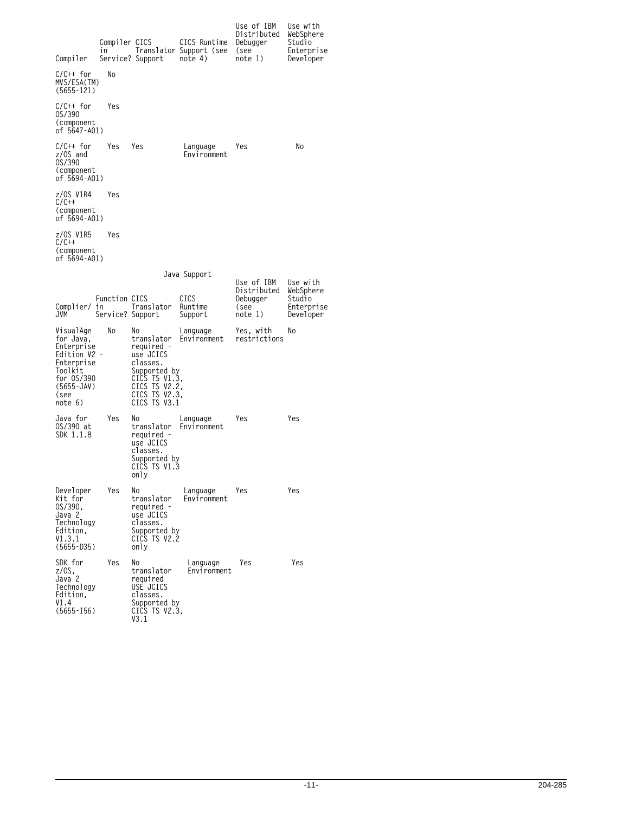| Compiler                                                                                                                     | Compiler CICS<br>1n                     | Service? Support                                                                                                                           | CICS Runtime<br>Translator Support (see<br>note 4) | Use of IBM<br>Distributed<br>Debugger<br>(see<br>note 1) | Use with<br>WebSphere<br>Studio<br>Enterprise<br>Developer |
|------------------------------------------------------------------------------------------------------------------------------|-----------------------------------------|--------------------------------------------------------------------------------------------------------------------------------------------|----------------------------------------------------|----------------------------------------------------------|------------------------------------------------------------|
| $C/C++$ for<br>MVS/ESA(TM)<br>$(5655 - 121)$                                                                                 | No                                      |                                                                                                                                            |                                                    |                                                          |                                                            |
| $C/C++$ for<br>0S/390<br>(component<br>of 5647-A01)                                                                          | Yes                                     |                                                                                                                                            |                                                    |                                                          |                                                            |
| C/C++ for<br>z/OS and<br>0S/390<br>(component<br>of 5694-A01)                                                                | Yes                                     | Yes                                                                                                                                        | Language<br>Environment                            | Yes                                                      | No                                                         |
| z/OS V1R4<br>$C/C++$<br>(component<br>of 5694-AO1)                                                                           | Yes                                     |                                                                                                                                            |                                                    |                                                          |                                                            |
| z/OS V1R5<br>C/C++<br>(component<br>of 5694-A01)                                                                             | Yes                                     |                                                                                                                                            |                                                    |                                                          |                                                            |
|                                                                                                                              |                                         |                                                                                                                                            | Java Support                                       | Use of IBM                                               | Use with                                                   |
| Complier/<br>JVM                                                                                                             | Function CICS<br>in<br>Service? Support | Translator                                                                                                                                 | CICS<br>Runtime<br>Support                         | Distributed<br>Debugger<br>(see<br>note 1)               | WebSphere<br>Studio<br>Enterprise<br>Developer             |
| VisualAge<br>for Java,<br>Enterprise<br>Edition V2 –<br>Enterprise<br>Toolkit<br>for 0S/390<br>(5655-JAV)<br>(see<br>note 6) | No                                      | No<br>translator<br>required -<br>use JCICS<br>classes.<br>Supported by<br>CICS TS V1.3,<br>CICS TS V2.2.<br>CICS TS V2.3.<br>CICS TS V3.1 | Language<br>Environment                            | Yes, with<br>restrictions                                | No                                                         |
| Java for<br>OS/390 at<br>SDK 1.1.8                                                                                           | Yes                                     | No<br>translator<br>required -<br>use JCICS<br>classes.<br>Supported by<br>CICS TS V1.3<br>only                                            | Language<br>Environment                            | Yes                                                      | Yes                                                        |
| Developer<br>Kit for<br>OS/390.<br>Java 2<br>Technology<br>Edition,<br>V1.3.1<br>$(5655 - D35)$                              | Yes                                     | No<br>translator<br>required -<br>use JCICS<br>classes.<br>Supported by<br>CICS TS V2.2<br>only                                            | Language<br>Environment                            | Yes                                                      | Yes                                                        |
| SDK for<br>$z/0S$ ,<br>Java <sub>2</sub><br>Technology<br>Edition,<br>V1.4<br>$(5655 - 156)$                                 | Yes                                     | No<br>translator<br>required<br>USE JCICS<br>classes.<br>Supported by<br>CICS TS V2.3,<br>V3.1                                             | Language<br>Environment                            | Yes                                                      | Yes                                                        |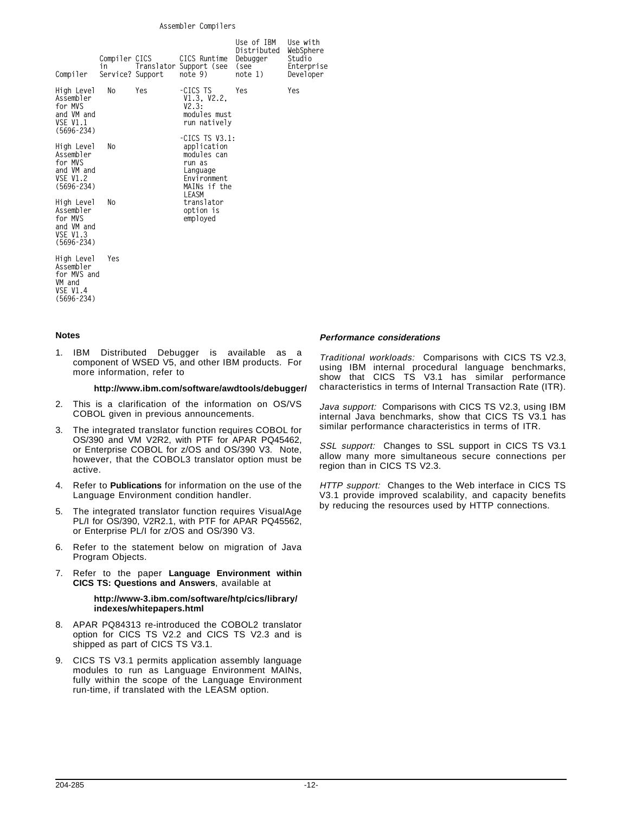#### **Assembler Compilers**

| Compiler                                                                              | Compiler CICS<br>in<br>Service? Support |     | CICS Runtime<br>Translator Support (see<br>note 9)                                                            | Use of IBM<br>Distributed<br>Debugger<br>see)<br>note 1) | Use with<br>WebSphere<br>Studio<br>Enterprise<br>Developer |
|---------------------------------------------------------------------------------------|-----------------------------------------|-----|---------------------------------------------------------------------------------------------------------------|----------------------------------------------------------|------------------------------------------------------------|
| High Level<br>Assembler<br>for MVS<br>and VM and<br><b>VSE V1.1</b><br>$(5696 - 234)$ | No                                      | Yes | -CICS TS<br>V1.3, V2.2,<br>V2.3:<br>modules must<br>run natively                                              | Yes                                                      | Yes                                                        |
| High Level<br>Assembler<br>for MVS<br>and VM and<br><b>VSE V1.2</b><br>$(5696 - 234)$ | No                                      |     | -CICS TS $V3.1$ :<br>application<br>modules can<br>run as<br>Language<br>Environment<br>MAINs if the<br>LEASM |                                                          |                                                            |
| High Level<br>Assembler<br>for MVS<br>and VM and<br><b>VSE V1.3</b><br>$(5696 - 234)$ | No                                      |     | translator<br>option is<br>employed                                                                           |                                                          |                                                            |
| High Level<br>Assembler<br>for MVS and<br>VM and<br><b>VSE V1.4</b><br>$(5696 - 234)$ | Yes                                     |     |                                                                                                               |                                                          |                                                            |

#### **Notes**

1. IBM Distributed Debugger is available as a component of WSED V5, and other IBM products. For more information, refer to

#### **http://www.ibm.com/software/awdtools/debugger/**

- 2. This is a clarification of the information on OS/VS COBOL given in previous announcements.
- 3. The integrated translator function requires COBOL for OS/390 and VM V2R2, with PTF for APAR PQ45462, or Enterprise COBOL for z/OS and OS/390 V3. Note, however, that the COBOL3 translator option must be active.
- 4. Refer to **Publications** for information on the use of the Language Environment condition handler.
- 5. The integrated translator function requires VisualAge PL/I for OS/390, V2R2.1, with PTF for APAR PQ45562, or Enterprise PL/I for z/OS and OS/390 V3.
- 6. Refer to the statement below on migration of Java Program Objects.
- 7. Refer to the paper **Language Environment within CICS TS: Questions and Answers**, available at

#### **http://www-3.ibm.com/software/htp/cics/library/ indexes/whitepapers.html**

- 8. APAR PQ84313 re-introduced the COBOL2 translator option for CICS TS V2.2 and CICS TS V2.3 and is shipped as part of CICS TS V3.1.
- CICS TS V3.1 permits application assembly language modules to run as Language Environment MAINs, fully within the scope of the Language Environment run-time, if translated with the LEASM option.

#### **Performance considerations**

Traditional workloads: Comparisons with CICS TS V2.3, using IBM internal procedural language benchmarks, show that CICS TS V3.1 has similar performance characteristics in terms of Internal Transaction Rate (ITR).

Java support: Comparisons with CICS TS V2.3, using IBM internal Java benchmarks, show that CICS TS V3.1 has similar performance characteristics in terms of ITR.

SSL support: Changes to SSL support in CICS TS V3.1 allow many more simultaneous secure connections per region than in CICS TS V2.3.

HTTP support: Changes to the Web interface in CICS TS V3.1 provide improved scalability, and capacity benefits by reducing the resources used by HTTP connections.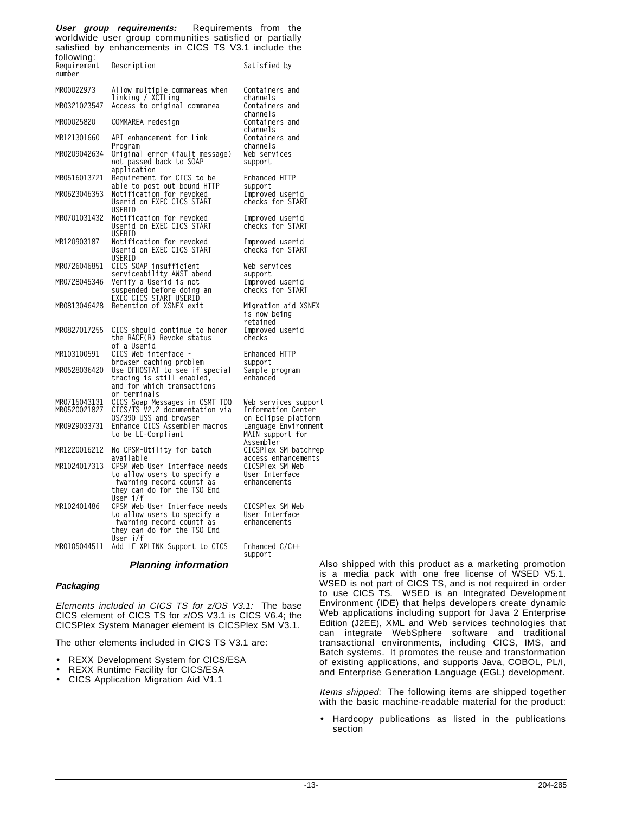**User group requirements:** Requirements from the worldwide user group communities satisfied or partially satisfied by enhancements in CICS TS V3.1 include the following:

| <b>IUIIUWIIIY.</b><br>Requirement<br>number | Description                                                                                                                                                                     | Satisfied by                                                             |
|---------------------------------------------|---------------------------------------------------------------------------------------------------------------------------------------------------------------------------------|--------------------------------------------------------------------------|
| MR00022973                                  | Allow multiple commareas when                                                                                                                                                   | Containers and                                                           |
| MR0321023547                                | linking / XCTLing<br>Access to original commarea                                                                                                                                | channels<br>Containers and                                               |
| MR00025820                                  | COMMAREA redesign                                                                                                                                                               | channels<br>Containers and                                               |
| MR121301660                                 | API enhancement for Link                                                                                                                                                        | channels<br>Containers and<br>channels                                   |
| MR0209042634                                | Program<br>Original error (fault message)<br>not passed back to SOAP<br>application                                                                                             | Web services<br>support                                                  |
| MR0516013721                                | Requirement for CICS to be                                                                                                                                                      | Enhanced HTTP                                                            |
| MR0623046353                                | able to post out bound HTTP<br>Notification for revoked<br>Userid on EXEC CICS START<br>USERID                                                                                  | support<br>Improved userid<br>checks for START                           |
| MR0701031432                                | Notification for revoked<br>Userid on EXEC CICS START<br>USERID                                                                                                                 | Improved userid<br>checks for START                                      |
| MR120903187                                 | Notification for revoked<br>Userid on EXEC CICS START<br>USERID                                                                                                                 | Improved userid<br>checks for START                                      |
| MR0726046851                                | CICS SOAP insufficient<br>serviceability AWST abend                                                                                                                             | Web services<br>support                                                  |
| MR0728045346                                | Verify a Userid is not<br>suspended before doing an<br>EXEC CICS START USERID                                                                                                   | Improved userid<br>checks for START                                      |
| MR0813046428                                | Retention of XSNEX exit                                                                                                                                                         | Migration aid XSNEX<br>is now being<br>retained                          |
| MR0827017255                                | CICS should continue to honor<br>the RACF(R) Revoke status<br>of a Userid                                                                                                       | Improved userid<br>checks                                                |
| MR103100591                                 | CICS Web interface -<br>browser caching problem                                                                                                                                 | Enhanced HTTP<br>support                                                 |
| MR0528036420                                | Use DFHOSTAT to see if special<br>tracing is still enabled,<br>and for which transactions                                                                                       | Sample program<br>enhanced                                               |
| MR0715043131<br>MR0520021827                | or terminals<br>CICS Soap Messages in CSMT TDQ<br>CICS/TS V2.2 documentation via<br>0S/390 USS and browser                                                                      | Web services support<br>Information Center<br>on Eclipse platform        |
| MR0929033731                                | Enhance CICS Assembler macros<br>to be LE-Compliant                                                                                                                             | Language Environment<br>MAIN support for<br>Assembler                    |
| MR1220016212                                | No CPSM-Utility for batch                                                                                                                                                       | CICSPlex SM batchrep                                                     |
| MR1024017313                                | available<br>CPSM Web User Interface needs<br>to allow users to specify a<br>twarning record countt as                                                                          | access enhancements<br>CICSPlex SM Web<br>User Interface<br>enhancements |
| MR102401486                                 | they can do for the TSO End<br>User i/f<br>CPSM Web User Interface needs<br>to allow users to specify a<br>twarning record countt as<br>they can do for the TSO End<br>User i/f | CICSPlex SM Web<br>User Interface<br>enhancements                        |
| MR0105044511                                | Add LE XPLINK Support to CICS                                                                                                                                                   | Enhanced C/C++<br>support                                                |

# **Planning information**

#### **Packaging**

Elements included in CICS TS for z/OS V3.1: The base CICS element of CICS TS for z/OS V3.1 is CICS V6.4; the CICSPlex System Manager element is CICSPlex SM V3.1.

The other elements included in CICS TS V3.1 are:

- REXX Development System for CICS/ESA
- REXX Runtime Facility for CICS/ESA
- CICS Application Migration Aid V1.1

Also shipped with this product as a marketing promotion is a media pack with one free license of WSED V5.1. WSED is not part of CICS TS, and is not required in order to use CICS TS. WSED is an Integrated Development Environment (IDE) that helps developers create dynamic Web applications including support for Java 2 Enterprise Edition (J2EE), XML and Web services technologies that can integrate WebSphere software and traditional transactional environments, including CICS, IMS, and Batch systems. It promotes the reuse and transformation of existing applications, and supports Java, COBOL, PL/I, and Enterprise Generation Language (EGL) development.

Items shipped: The following items are shipped together with the basic machine-readable material for the product:

• Hardcopy publications as listed in the publications section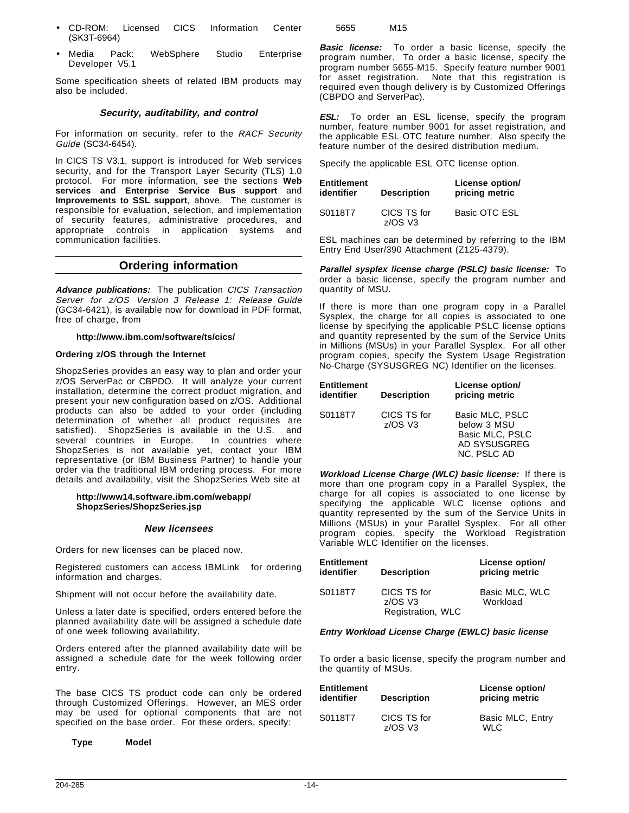- CD-ROM: Licensed CICS Information Center (SK3T-6964)
- Media Pack: WebSphere Studio Enterprise Developer V5.1

Some specification sheets of related IBM products may also be included.

# **Security, auditability, and control**

For information on security, refer to the RACF Security Guide (SC34-6454).

In CICS TS V3.1, support is introduced for Web services security, and for the Transport Layer Security (TLS) 1.0 protocol. For more information, see the sections **Web services and Enterprise Service Bus support** and **Improvements to SSL support**, above. The customer is responsible for evaluation, selection, and implementation of security features, administrative procedures, and appropriate controls in application systems and communication facilities.

# **Ordering information**

**Advance publications:** The publication CICS Transaction Server for z/OS Version 3 Release 1: Release Guide (GC34-6421), is available now for download in PDF format, free of charge, from

**http://www.ibm.com/software/ts/cics/**

### **Ordering z/OS through the Internet**

ShopzSeries provides an easy way to plan and order your z/OS ServerPac or CBPDO. It will analyze your current installation, determine the correct product migration, and present your new configuration based on z/OS. Additional products can also be added to your order (including determination of whether all product requisites are satisfied). ShopzSeries is available in the U.S. and<br>several countries in Europe. In countries where several countries in Europe. ShopzSeries is not available yet, contact your IBM representative (or IBM Business Partner) to handle your order via the traditional IBM ordering process. For more details and availability, visit the ShopzSeries Web site at

#### **http://www14.software.ibm.com/webapp/ ShopzSeries/ShopzSeries.jsp**

### **New licensees**

Orders for new licenses can be placed now.

Registered customers can access IBMLink™ for ordering information and charges.

Shipment will not occur before the availability date.

Unless a later date is specified, orders entered before the planned availability date will be assigned a schedule date of one week following availability.

Orders entered after the planned availability date will be assigned a schedule date for the week following order entry.

The base CICS TS product code can only be ordered through Customized Offerings. However, an MES order may be used for optional components that are not specified on the base order. For these orders, specify:

**Type Model**

5655 M15

**Basic license:** To order a basic license, specify the program number. To order a basic license, specify the program number 5655-M15. Specify feature number 9001 for asset registration. Note that this registration is required even though delivery is by Customized Offerings (CBPDO and ServerPac).

**ESL:** To order an ESL license, specify the program number, feature number 9001 for asset registration, and the applicable ESL OTC feature number. Also specify the feature number of the desired distribution medium.

Specify the applicable ESL OTC license option.

| <b>Entitlement</b><br>identifier | <b>Description</b>       | License option/<br>pricing metric |
|----------------------------------|--------------------------|-----------------------------------|
| S0118T7                          | CICS TS for<br>$7/OS$ V3 | Basic OTC ESL                     |

ESL machines can be determined by referring to the IBM Entry End User/390 Attachment (Z125-4379).

**Parallel sysplex license charge (PSLC) basic license:** To order a basic license, specify the program number and quantity of MSU.

If there is more than one program copy in a Parallel Sysplex, the charge for all copies is associated to one license by specifying the applicable PSLC license options and quantity represented by the sum of the Service Units in Millions (MSUs) in your Parallel Sysplex. For all other program copies, specify the System Usage Registration No-Charge (SYSUSGREG NC) Identifier on the licenses.

| <b>Entitlement</b><br>identifier | <b>Description</b>        | License option/<br>pricing metric                                                |
|----------------------------------|---------------------------|----------------------------------------------------------------------------------|
| S0118T7                          | CICS TS for<br>$z$ /OS V3 | Basic MLC, PSLC<br>below 3 MSU<br>Basic MLC, PSLC<br>AD SYSUSGREG<br>NC, PSLC AD |

**Workload License Charge (WLC) basic license:** If there is more than one program copy in a Parallel Sysplex, the charge for all copies is associated to one license by specifying the applicable WLC license options and quantity represented by the sum of the Service Units in Millions (MSUs) in your Parallel Sysplex. For all other program copies, specify the Workload Registration Variable WLC Identifier on the licenses.

| <b>Entitlement</b><br>identifier | <b>Description</b>       | License option/<br>pricing metric |
|----------------------------------|--------------------------|-----------------------------------|
| S0118T7                          | CICS TS for<br>$7/OS$ V3 | Basic MLC, WLC<br>Workload        |
|                                  | Registration, WLC        |                                   |

### **Entry Workload License Charge (EWLC) basic license**

To order a basic license, specify the program number and the quantity of MSUs.

| <b>Entitlement</b><br>identifier | <b>Description</b>              | License option/<br>pricing metric |
|----------------------------------|---------------------------------|-----------------------------------|
| S0118T7                          | CICS TS for<br>$7/\text{OS}$ V3 | Basic MLC, Entry<br>WI C          |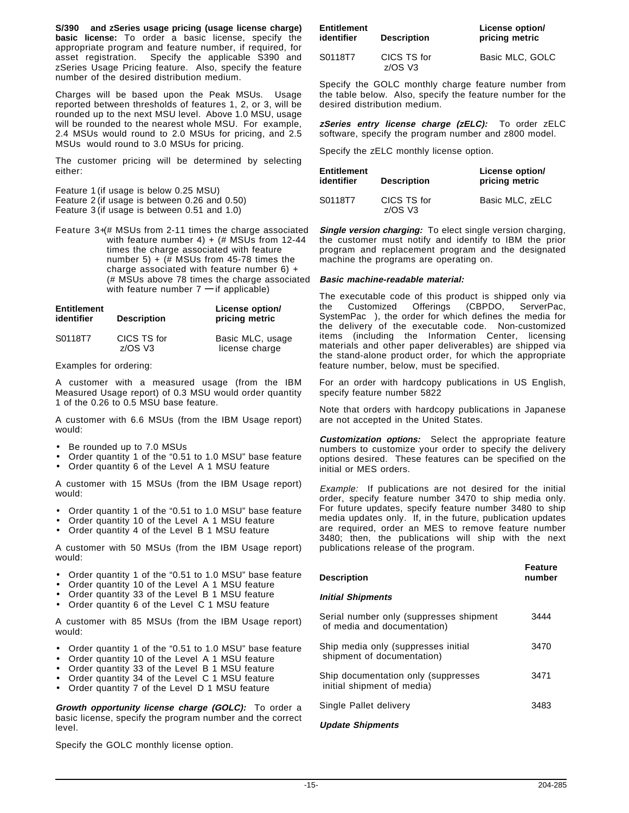**S/390 and zSeries usage pricing (usage license charge) basic license:** To order a basic license, specify the appropriate program and feature number, if required, for asset registration. Specify the applicable S390 and zSeries Usage Pricing feature. Also, specify the feature number of the desired distribution medium.

Charges will be based upon the Peak MSUs. Usage reported between thresholds of features 1, 2, or 3, will be rounded up to the next MSU level. Above 1.0 MSU, usage will be rounded to the nearest whole MSU. For example, 2.4 MSUs would round to 2.0 MSUs for pricing, and 2.5 MSUs would round to 3.0 MSUs for pricing.

The customer pricing will be determined by selecting either:

Feature 1 (if usage is below 0.25 MSU) Feature 2 (if usage is between 0.26 and 0.50) Feature 3 (if usage is between 0.51 and 1.0)

Feature 3+(# MSUs from 2-11 times the charge associated with feature number 4) + (# MSUs from 12-44 times the charge associated with feature number 5) + (# MSUs from 45-78 times the charge associated with feature number 6) + (# MSUs above 78 times the charge associated with feature number 7 **—** if applicable)

| <b>Entitlement</b><br>identifier | <b>Description</b>        | License option/<br>pricing metric  |
|----------------------------------|---------------------------|------------------------------------|
| S0118T7                          | CICS TS for<br>$z$ /OS V3 | Basic MLC, usage<br>license charge |

Examples for ordering:

A customer with a measured usage (from the IBM Measured Usage report) of 0.3 MSU would order quantity 1 of the 0.26 to 0.5 MSU base feature.

A customer with 6.6 MSUs (from the IBM Usage report) would:

- Be rounded up to 7.0 MSUs
- Order quantity 1 of the "0.51 to 1.0 MSU" base feature
- Order quantity 6 of the Level A 1 MSU feature

A customer with 15 MSUs (from the IBM Usage report) would:

- Order quantity 1 of the "0.51 to 1.0 MSU" base feature
- Order quantity 10 of the Level A 1 MSU feature
- Order quantity 4 of the Level B 1 MSU feature

A customer with 50 MSUs (from the IBM Usage report) would:

- Order quantity 1 of the "0.51 to 1.0 MSU" base feature
- Order quantity 10 of the Level A 1 MSU feature
- Order quantity 33 of the Level B 1 MSU feature
- Order quantity 6 of the Level C 1 MSU feature

A customer with 85 MSUs (from the IBM Usage report) would:

- Order quantity 1 of the "0.51 to 1.0 MSU" base feature
- Order quantity 10 of the Level A 1 MSU feature
- Order quantity 33 of the Level B 1 MSU feature
- Order quantity 34 of the Level C 1 MSU feature
- Order quantity 7 of the Level D 1 MSU feature

**Growth opportunity license charge (GOLC):** To order a basic license, specify the program number and the correct level.

Specify the GOLC monthly license option.

| <b>Entitlement</b><br>identifier | <b>Description</b>        | License option/<br>pricing metric |
|----------------------------------|---------------------------|-----------------------------------|
| S0118T7                          | CICS TS for<br>$z$ /OS V3 | Basic MLC, GOLC                   |

Specify the GOLC monthly charge feature number from the table below. Also, specify the feature number for the desired distribution medium.

**zSeries entry license charge (zELC):** To order zELC software, specify the program number and z800 model.

Specify the zELC monthly license option.

| <b>Entitlement</b><br>identifier | <b>Description</b>        | License option/<br>pricing metric |
|----------------------------------|---------------------------|-----------------------------------|
| S0118T7                          | CICS TS for<br>$z$ /OS V3 | Basic MLC, zELC                   |

**Single version charging:** To elect single version charging, the customer must notify and identify to IBM the prior program and replacement program and the designated machine the programs are operating on.

#### **Basic machine-readable material:**

The executable code of this product is shipped only via the Customized Offerings (CBPDO, ServerPac, SystemPac®), the order for which defines the media for the delivery of the executable code. Non-customized items (including the Information Center, licensing materials and other paper deliverables) are shipped via the stand-alone product order, for which the appropriate feature number, below, must be specified.

For an order with hardcopy publications in US English, specify feature number 5822

Note that orders with hardcopy publications in Japanese are not accepted in the United States.

**Customization options:** Select the appropriate feature numbers to customize your order to specify the delivery options desired. These features can be specified on the initial or MES orders.

Example: If publications are not desired for the initial order, specify feature number 3470 to ship media only. For future updates, specify feature number 3480 to ship media updates only. If, in the future, publication updates are required, order an MES to remove feature number 3480; then, the publications will ship with the next publications release of the program.

| Description                                                            | <b>Feature</b><br>number |
|------------------------------------------------------------------------|--------------------------|
| Initial Shipments                                                      |                          |
| Serial number only (suppresses shipment<br>of media and documentation) | 3444                     |
| Ship media only (suppresses initial<br>shipment of documentation)      | 3470                     |
| Ship documentation only (suppresses<br>initial shipment of media)      | 3471                     |
| Single Pallet delivery                                                 | 3483                     |

#### **Update Shipments**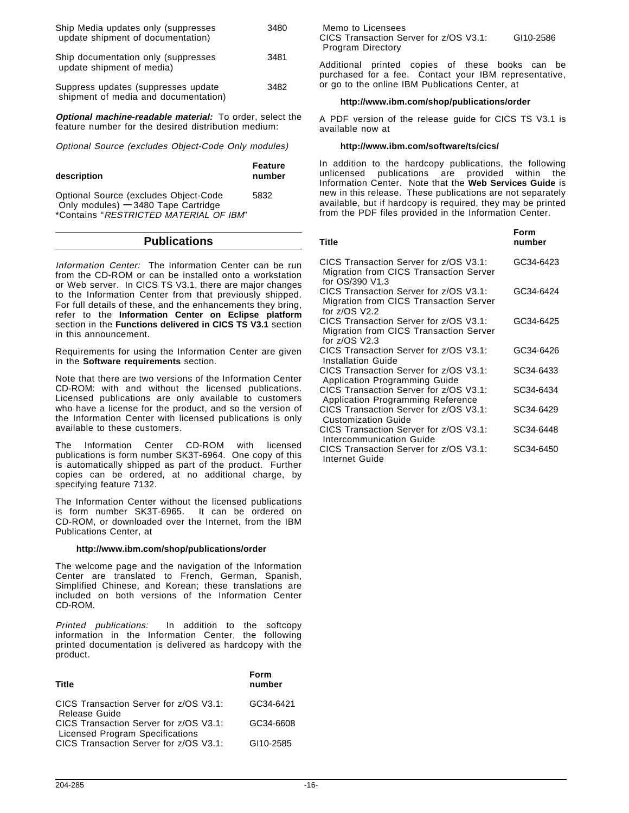| Ship Media updates only (suppresses<br>update shipment of documentation)     | 3480 |
|------------------------------------------------------------------------------|------|
| Ship documentation only (suppresses<br>update shipment of media)             | 3481 |
| Suppress updates (suppresses update)<br>shipment of media and documentation) | 3482 |
| <b>Optional machine-readable material:</b> To order, select the              |      |

feature number for the desired distribution medium:

Optional Source (excludes Object-Code Only modules)

| description                                                                   | Feature<br>number |  |
|-------------------------------------------------------------------------------|-------------------|--|
| Optional Source (excludes Object-Code<br>Only modules) $-3480$ Tape Cartridge | 5832              |  |
| *Contains "RESTRICTED MATERIAL OF IBM"                                        |                   |  |

# **Publications**

Information Center: The Information Center can be run from the CD-ROM or can be installed onto a workstation or Web server. In CICS TS V3.1, there are major changes to the Information Center from that previously shipped. For full details of these, and the enhancements they bring, refer to the **Information Center on Eclipse platform** section in the **Functions delivered in CICS TS V3.1** section in this announcement.

Requirements for using the Information Center are given in the **Software requirements** section.

Note that there are two versions of the Information Center CD-ROM: with and without the licensed publications. Licensed publications are only available to customers who have a license for the product, and so the version of the Information Center with licensed publications is only available to these customers.

The Information Center CD-ROM with licensed publications is form number SK3T-6964. One copy of this is automatically shipped as part of the product. Further copies can be ordered, at no additional charge, by specifying feature 7132.

The Information Center without the licensed publications is form number SK3T-6965. It can be ordered on CD-ROM, or downloaded over the Internet, from the IBM Publications Center, at

### **http://www.ibm.com/shop/publications/order**

The welcome page and the navigation of the Information Center are translated to French, German, Spanish, Simplified Chinese, and Korean; these translations are included on both versions of the Information Center CD-ROM.

Printed publications: In addition to the softcopy information in the Information Center, the following printed documentation is delivered as hardcopy with the product.

| Title                                                                     | Form<br>number |
|---------------------------------------------------------------------------|----------------|
| CICS Transaction Server for z/OS V3.1:<br>Release Guide                   | GC34-6421      |
| CICS Transaction Server for z/OS V3.1:<br>Licensed Program Specifications | GC34-6608      |
| CICS Transaction Server for z/OS V3.1:                                    | GI10-2585      |

 Memo to Licensees CICS Transaction Server for z/OS V3.1: GI10-2586 Program Directory

Additional printed copies of these books can be purchased for a fee. Contact your IBM representative, or go to the online IBM Publications Center, at

### **http://www.ibm.com/shop/publications/order**

A PDF version of the release guide for CICS TS V3.1 is available now at

### **http://www.ibm.com/software/ts/cics/**

In addition to the hardcopy publications, the following unlicensed publications are provided within the Information Center. Note that the **Web Services Guide** is new in this release. These publications are not separately available, but if hardcopy is required, they may be printed from the PDF files provided in the Information Center.

| <b>Title</b>                                                                                         | Form<br>number |
|------------------------------------------------------------------------------------------------------|----------------|
| CICS Transaction Server for z/OS V3.1:<br>Migration from CICS Transaction Server<br>for OS/390 V1.3  | GC34-6423      |
| CICS Transaction Server for z/OS V3.1:<br>Migration from CICS Transaction Server<br>for z/OS V2.2    | GC34-6424      |
| CICS Transaction Server for z/OS V3.1:<br>Migration from CICS Transaction Server<br>for $z$ /OS V2.3 | GC34-6425      |
| CICS Transaction Server for z/OS V3.1:<br><b>Installation Guide</b>                                  | GC34-6426      |
| CICS Transaction Server for z/OS V3.1:<br>Application Programming Guide                              | SC34-6433      |
| CICS Transaction Server for z/OS V3.1:<br>Application Programming Reference                          | SC34-6434      |
| CICS Transaction Server for z/OS V3.1:<br><b>Customization Guide</b>                                 | SC34-6429      |
| CICS Transaction Server for z/OS V3.1:<br>Intercommunication Guide                                   | SC34-6448      |
| CICS Transaction Server for z/OS V3.1:<br>Internet Guide                                             | SC34-6450      |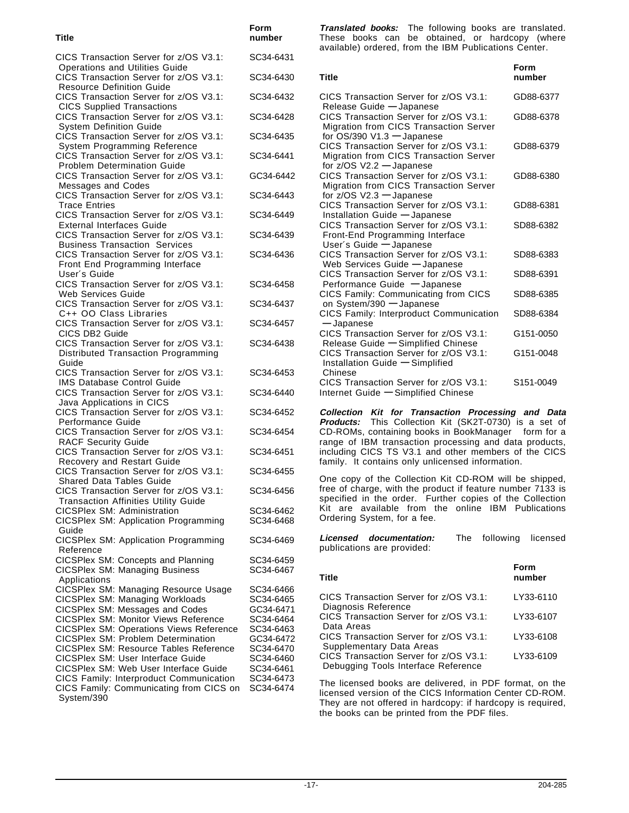#### **Title number** CICS Transaction Server for z/OS V3.1: SC34-6431 Operations and Utilities Guide CICS Transaction Server for z/OS V3.1: SC34-6430 Resource Definition Guide CICS Transaction Server for z/OS V3.1: SC34-6432 CICS Supplied Transactions CICS Transaction Server for z/OS V3.1: SC34-6428 System Definition Guide CICS Transaction Server for z/OS V3.1: SC34-6435 System Programming Reference CICS Transaction Server for z/OS V3.1: SC34-6441 Problem Determination Guide CICS Transaction Server for z/OS V3.1: GC34-6442 Messages and Codes CICS Transaction Server for z/OS V3.1: SC34-6443 Trace Entries CICS Transaction Server for z/OS V3.1: SC34-6449 External Interfaces Guide CICS Transaction Server for z/OS V3.1: SC34-6439 Business Transaction Services CICS Transaction Server for z/OS V3.1: SC34-6436 Front End Programming Interface User′s Guide CICS Transaction Server for z/OS V3.1: SC34-6458 Web Services Guide CICS Transaction Server for z/OS V3.1: SC34-6437 C++ OO Class Libraries CICS Transaction Server for z/OS V3.1: SC34-6457 CICS DB2 Guide CICS Transaction Server for z/OS V3.1: SC34-6438 Distributed Transaction Programming Guide CICS Transaction Server for z/OS V3.1: SC34-6453 IMS Database Control Guide CICS Transaction Server for z/OS V3.1: SC34-6440 Java Applications in CICS CICS Transaction Server for z/OS V3.1: SC34-6452 Performance Guide CICS Transaction Server for z/OS V3.1: SC34-6454 RACF Security Guide CICS Transaction Server for z/OS V3.1: SC34-6451 Recovery and Restart Guide CICS Transaction Server for z/OS V3.1: SC34-6455 Shared Data Tables Guide CICS Transaction Server for z/OS V3.1: SC34-6456 Transaction Affinities Utility Guide CICSPlex SM: Administration SC34-6462 CICSPlex SM: Application Programming SC34-6468 Guide CICSPlex SM: Application Programming SC34-6469 Reference CICSPlex SM: Concepts and Planning SC34-6459<br>CICSPlex SM: Managing Business SC34-6467 CICSPlex SM: Managing Business Applications CICSPlex SM: Managing Resource Usage SC34-6466 CICSPlex SM: Managing Workloads SC34-6465<br>CICSPlex SM: Messages and Codes GC34-6471 CICSPlex SM: Messages and Codes CICSPlex SM: Monitor Views Reference SC34-6464 CICSPlex SM: Operations Views Reference SC34-6463 CICSPlex SM: Problem Determination GC34-6472 CICSPlex SM: Resource Tables Reference SC34-6470 CICSPlex SM: User Interface Guide SC34-6460 CICSPlex SM: Web User Interface Guide SC34-6461 CICS Family: Interproduct Communication SC34-6473 CICS Family: Communicating from CICS on SC34-6474 System/390<sup>®</sup>

**Form**

**Translated books:** The following books are translated. These books can be obtained, or hardcopy (where available) ordered, from the IBM Publications Center.

| <b>Title</b>                                                                                                            | Form<br>number |
|-------------------------------------------------------------------------------------------------------------------------|----------------|
| CICS Transaction Server for z/OS V3.1:<br>Release Guide - Japanese                                                      | GD88-6377      |
| CICS Transaction Server for z/OS V3.1:<br>Migration from CICS Transaction Server<br>for $OS/390$ V1.3 $-$ Japanese      | GD88-6378      |
| CICS Transaction Server for z/OS V3.1:<br><b>Migration from CICS Transaction Server</b><br>for $z/OS$ V2.2 $-$ Japanese | GD88-6379      |
| CICS Transaction Server for z/OS V3.1:<br>Migration from CICS Transaction Server<br>for z/OS V2.3 - Japanese            | GD88-6380      |
| CICS Transaction Server for z/OS V3.1:<br>Installation Guide - Japanese                                                 | GD88-6381      |
| CICS Transaction Server for z/OS V3.1:<br>Front-End Programming Interface<br>User's Guide - Japanese                    | SD88-6382      |
| CICS Transaction Server for z/OS V3.1:<br>Web Services Guide - Japanese                                                 | SD88-6383      |
| CICS Transaction Server for z/OS V3.1:<br>Performance Guide - Japanese                                                  | SD88-6391      |
| CICS Family: Communicating from CICS<br>on System/390 - Japanese                                                        | SD88-6385      |
| CICS Family: Interproduct Communication<br>-Japanese                                                                    | SD88-6384      |
| CICS Transaction Server for z/OS V3.1:<br>Release Guide - Simplified Chinese                                            | G151-0050      |
| CICS Transaction Server for z/OS V3.1:<br>Installation Guide - Simplified<br>Chinese                                    | G151-0048      |
| CICS Transaction Server for z/OS V3.1:<br>Internet Guide - Simplified Chinese                                           | S151-0049      |

**Collection Kit for Transaction Processing and Data Products:** This Collection Kit (SK2T-0730) is a set of CD-ROMs, containing books in BookManager® form for a range of IBM transaction processing and data products, including CICS TS V3.1 and other members of the CICS family. It contains only unlicensed information.

One copy of the Collection Kit CD-ROM will be shipped, free of charge, with the product if feature number 7133 is specified in the order. Further copies of the Collection Kit are available from the online IBM Publications Ordering System, for a fee.

**Licensed documentation:** The following licensed publications are provided:

| Title                                                                         | Form<br>number |
|-------------------------------------------------------------------------------|----------------|
| CICS Transaction Server for z/OS V3.1:<br>Diagnosis Reference                 | LY33-6110      |
| CICS Transaction Server for z/OS V3.1:<br>Data Areas                          | LY33-6107      |
| CICS Transaction Server for z/OS V3.1:<br>Supplementary Data Areas            | LY33-6108      |
| CICS Transaction Server for z/OS V3.1:<br>Debugging Tools Interface Reference | LY33-6109      |

The licensed books are delivered, in PDF format, on the licensed version of the CICS Information Center CD-ROM. They are not offered in hardcopy: if hardcopy is required, the books can be printed from the PDF files.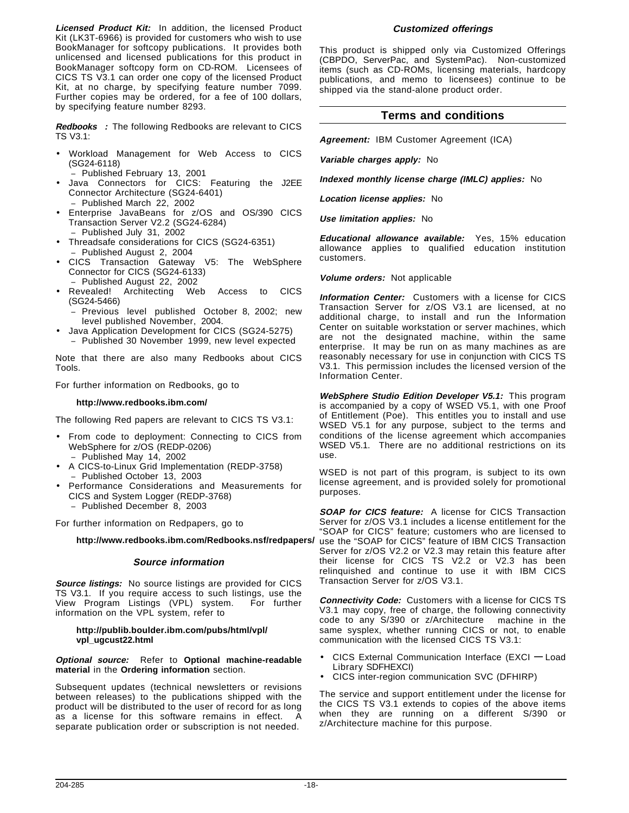**Licensed Product Kit:** In addition, the licensed Product Kit (LK3T-6966) is provided for customers who wish to use BookManager for softcopy publications. It provides both unlicensed and licensed publications for this product in BookManager softcopy form on CD-ROM. Licensees of CICS TS V3.1 can order one copy of the licensed Product Kit, at no charge, by specifying feature number 7099. Further copies may be ordered, for a fee of 100 dollars, by specifying feature number 8293.

Redbooks<sup>™</sup>: The following Redbooks are relevant to CICS TS V3.1:

- Workload Management for Web Access to CICS (SG24-6118)
	- − Published February 13, 2001
- Java Connectors for CICS: Featuring the J2EE Connector Architecture (SG24-6401) − Published March 22, 2002
- Enterprise JavaBeans for z/OS and OS/390 CICS Transaction Server V2.2 (SG24-6284) − Published July 31, 2002
- Threadsafe considerations for CICS (SG24-6351) − Published August 2, 2004
- CICS Transaction Gateway V5: The WebSphere Connector for CICS (SG24-6133)
	- − Published August 22, 2002
- Revealed! Architecting Web Access to CICS (SG24-5466)
	- Previous level published October 8, 2002; new level published November, 2004.
- Java Application Development for CICS (SG24-5275)
	- − Published 30 November 1999, new level expected

Note that there are also many Redbooks about CICS Tools.

For further information on Redbooks, go to

#### **http://www.redbooks.ibm.com/**

The following Red papers are relevant to CICS TS V3.1:

- From code to deployment: Connecting to CICS from WebSphere for z/OS (REDP-0206) − Published May 14, 2002
- A CICS-to-Linux Grid Implementation (REDP-3758) − Published October 13, 2003
- Performance Considerations and Measurements for CICS and System Logger (REDP-3768) − Published December 8, 2003

For further information on Redpapers, go to

**http://www.redbooks.ibm.com/Redbooks.nsf/redpapers/**

### **Source information**

**Source listings:** No source listings are provided for CICS TS V3.1. If you require access to such listings, use the View Program Listings (VPL) system. For further information on the VPL system, refer to

#### **http://publib.boulder.ibm.com/pubs/html/vpl/ vpl\_ugcust22.html**

### **Optional source:** Refer to **Optional machine-readable material** in the **Ordering information** section.

Subsequent updates (technical newsletters or revisions between releases) to the publications shipped with the product will be distributed to the user of record for as long as a license for this software remains in effect. A separate publication order or subscription is not needed.

This product is shipped only via Customized Offerings (CBPDO, ServerPac, and SystemPac). Non-customized items (such as CD-ROMs, licensing materials, hardcopy publications, and memo to licensees) continue to be shipped via the stand-alone product order.

**Customized offerings**

### **Terms and conditions**

**Agreement:** IBM Customer Agreement (ICA)

**Variable charges apply:** No

**Indexed monthly license charge (IMLC) applies:** No

**Location license applies:** No

**Use limitation applies:** No

**Educational allowance available:** Yes, 15% education allowance applies to qualified education institution customers.

**Volume orders:** Not applicable

**Information Center:** Customers with a license for CICS Transaction Server for z/OS V3.1 are licensed, at no additional charge, to install and run the Information Center on suitable workstation or server machines, which are not the designated machine, within the same enterprise. It may be run on as many machines as are reasonably necessary for use in conjunction with CICS TS V3.1. This permission includes the licensed version of the Information Center.

**WebSphere Studio Edition Developer V5.1:** This program is accompanied by a copy of WSED V5.1, with one Proof of Entitlement (Poe). This entitles you to install and use WSED V5.1 for any purpose, subject to the terms and conditions of the license agreement which accompanies WSED V5.1. There are no additional restrictions on its use.

WSED is not part of this program, is subject to its own license agreement, and is provided solely for promotional purposes.

**SOAP for CICS feature:** A license for CICS Transaction Server for z/OS V3.1 includes a license entitlement for the "SOAP for CICS" feature; customers who are licensed to use the "SOAP for CICS" feature of IBM CICS Transaction Server for z/OS V2.2 or V2.3 may retain this feature after their license for CICS TS V2.2 or V2.3 has been relinquished and continue to use it with IBM CICS Transaction Server for z/OS V3.1.

**Connectivity Code:** Customers with a license for CICS TS V3.1 may copy, free of charge, the following connectivity code to any S/390 or z/Architecture<sup>™</sup> machine in the same sysplex, whether running CICS or not, to enable communication with the licensed CICS TS V3.1:

- CICS External Communication Interface (EXCI **—** Load Library SDFHEXCI)
- CICS inter-region communication SVC (DFHIRP)

The service and support entitlement under the license for the CICS TS V3.1 extends to copies of the above items when they are running on a different S/390 or z/Architecture machine for this purpose.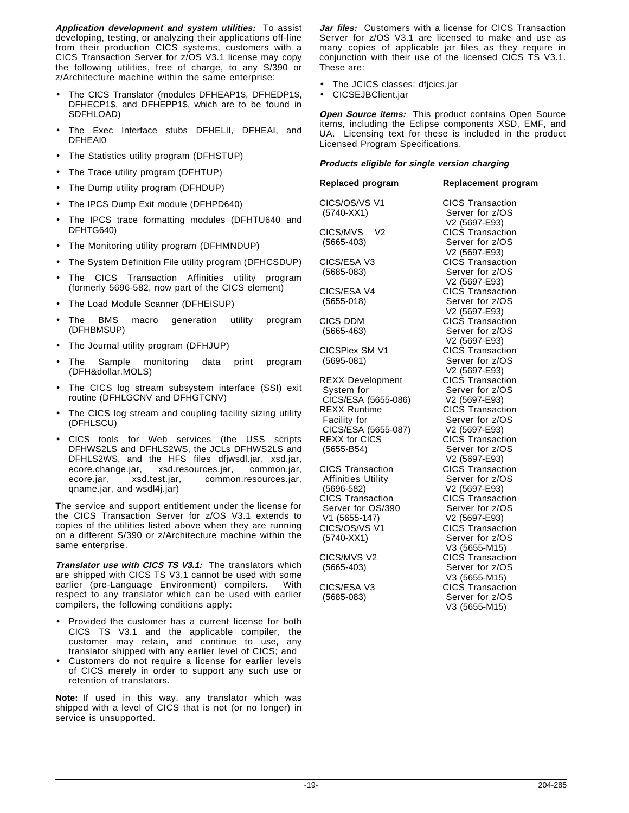**Application development and system utilities:** To assist developing, testing, or analyzing their applications off-line from their production CICS systems, customers with a CICS Transaction Server for z/OS V3.1 license may copy the following utilities, free of charge, to any S/390 or z/Architecture machine within the same enterprise:

- The CICS Translator (modules DFHEAP1\$, DFHEDP1\$, DFHECP1\$, and DFHEPP1\$, which are to be found in SDFHLOAD)
- The Exec Interface stubs DFHELII, DFHEAI, and DFHEAI0
- The Statistics utility program (DFHSTUP)
- The Trace utility program (DFHTUP)
- The Dump utility program (DFHDUP)
- The IPCS Dump Exit module (DFHPD640)
- The IPCS trace formatting modules (DFHTU640 and DFHTG640)
- The Monitoring utility program (DFHMNDUP)
- The System Definition File utility program (DFHCSDUP)
- The CICS Transaction Affinities utility program (formerly 5696-582, now part of the CICS element)
- The Load Module Scanner (DFHEISUP)
- The BMS macro generation utility program (DFHBMSUP)
- The Journal utility program (DFHJUP)
- The Sample monitoring data print program (DFH&dollar.MOLS)
- The CICS log stream subsystem interface (SSI) exit routine (DFHLGCNV and DFHGTCNV)
- The CICS log stream and coupling facility sizing utility (DFHLSCU)
- CICS tools for Web services (the USS scripts DFHWS2LS and DFHLS2WS, the JCLs DFHWS2LS and DFHLS2WS, and the HFS files dfjwsdl.jar, xsd.jar, ecore.change.jar, xsd.resources.jar, common.jar, ecore.jar, xsd.test.jar, common.resources.jar, qname.jar, and wsdl4j.jar)

The service and support entitlement under the license for the CICS Transaction Server for z/OS V3.1 extends to copies of the utilities listed above when they are running on a different S/390 or z/Architecture machine within the same enterprise.

**Translator use with CICS TS V3.1:** The translators which are shipped with CICS TS V3.1 cannot be used with some earlier (pre-Language Environment) compilers. With respect to any translator which can be used with earlier compilers, the following conditions apply:

- Provided the customer has a current license for both CICS TS V3.1 and the applicable compiler, the customer may retain, and continue to use, any translator shipped with any earlier level of CICS; and
- Customers do not require a license for earlier levels of CICS merely in order to support any such use or retention of translators.

**Note:** If used in this way, any translator which was shipped with a level of CICS that is not (or no longer) in service is unsupported.

**Jar files:** Customers with a license for CICS Transaction Server for z/OS V3.1 are licensed to make and use as many copies of applicable jar files as they require in conjunction with their use of the licensed CICS TS V3.1. These are:

- The JCICS classes: dfjcics.jar
- CICSEJBClient.jar

**Open Source items:** This product contains Open Source items, including the Eclipse components XSD, EMF, and UA. Licensing text for these is included in the product Licensed Program Specifications.

### **Products eligible for single version charging**

**Replaced program Replacement program** CICS/OS/VS V1 CICS Transaction (5740-XX1) Server for z/OS V2 (5697-E93) CICS/MVS® V2 CICS Transaction (5665-403) Server for z/OS V2 (5697-E93) CICS/ESA V3 CICS Transaction (5685-083) Server for z/OS V2 (5697-E93) CICS/ESA V4 CICS Transaction (5655-018) Server for z/OS V2 (5697-E93) CICS DDM CICS Transaction (5665-463) Server for z/OS V2 (5697-E93) CICSPlex SM V1 CICS Transaction (5695-081) Server for z/OS V2 (5697-E93) REXX Development CICS Transaction System for Server for z/OS CICS/ESA (5655-086) V2 (5697-E93) REXX Runtime CICS Transaction Facility for Server for z/OS CICS/ESA (5655-087) V2 (5697-E93)<br>REXX for CICS CICS Transact (5655-B54) Server for z/OS CICS Transaction CICS Transaction Affinities Utility Server for z/OS (5696-582) V2 (5697-E93) CICS Transaction CICS Transaction Server for OS/390 Server for z/OS CICS/OS/VS V1 CICS Transaction (5740-XX1) Server for z/OS CICS/MVS V2 CICS Transaction (5665-403) Server for z/OS CICS/ESA V3 CICS Transaction

CICS Transaction V2 (5697-E93) V2 (5697-E93) V3 (5655-M15) V3 (5655-M15) (5685-083) Server for z/OS V3 (5655-M15)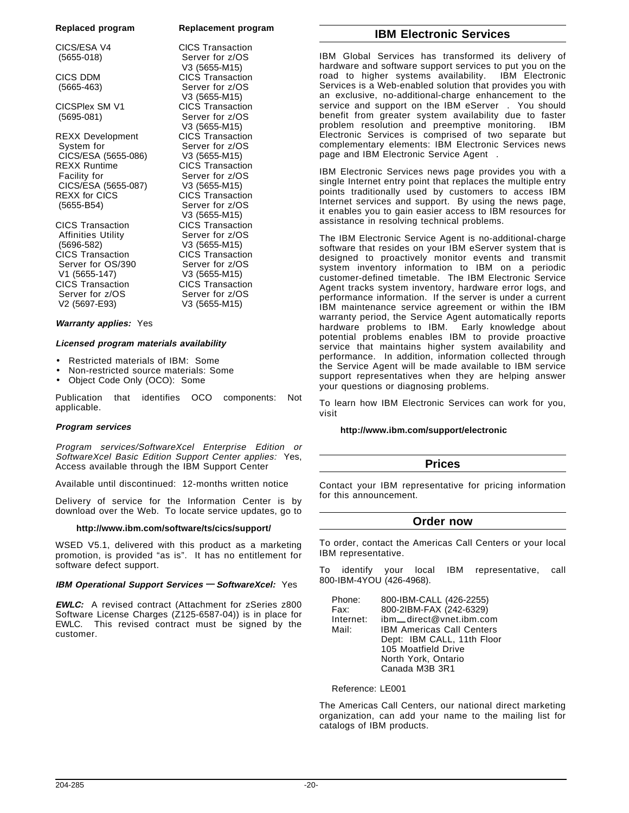#### **Replaced program Replacement program**

CICS/ESA V4 CICS Transaction (5655-018) Server for z/OS

CICS DDM CICS Transaction (5665-463) Server for z/OS

CICSPlex SM V1 CICS Transaction<br>(5695-081) Server for z/OS

REXX Development System for Server for z/OS CICS/ESA (5655-086) V3 (5655-M15) REXX Runtime CICS Transaction Facility for Server for z/OS CICS/ESA (5655-087) V3 (5655-M15) REXX for CICS **CICS** CICS Transaction (5655-B54) Server for z/OS

CICS Transaction Affinities Utility Server for z/OS (5696-582) V3 (5655-M15) Server for OS/390 Server for z/OS V1 (5655-147) V3 (5655-M15) CICS Transaction CICS Transaction Server for z/OS Server for z/OS

# **Warranty applies:** Yes

#### **Licensed program materials availability**

- Restricted materials of IBM: Some
- Non-restricted source materials: Some
- Object Code Only (OCO): Some

Publication that identifies OCO components: Not applicable.

V3 (5655-M15)

V3 (5655-M15)

Server for z/OS V3 (5655-M15)<br>CICS Transaction

V3 (5655-M15)<br>CICS Transaction

CICS Transaction

V3 (5655-M15)

#### **Program services**

Program services/SoftwareXcel Enterprise Edition or SoftwareXcel Basic Edition Support Center applies: Yes, Access available through the IBM Support Center

Available until discontinued: 12-months written notice

Delivery of service for the Information Center is by download over the Web. To locate service updates, go to

#### **http://www.ibm.com/software/ts/cics/support/**

WSED V5.1, delivered with this product as a marketing promotion, is provided "as is". It has no entitlement for software defect support.

#### **IBM Operational Support Services — SoftwareXcel:** Yes

**EWLC:** A revised contract (Attachment for zSeries z800 Software License Charges (Z125-6587-04)) is in place for EWLC. This revised contract must be signed by the customer.

# **IBM Electronic Services**

IBM Global Services has transformed its delivery of hardware and software support services to put you on the road to higher systems availability. IBM Electronic Services is a Web-enabled solution that provides you with an exclusive, no-additional-charge enhancement to the service and support on the IBM eServer®. You should benefit from greater system availability due to faster problem resolution and preemptive monitoring. IBM Electronic Services is comprised of two separate but complementary elements: IBM Electronic Services news page and IBM Electronic Service Agent™.

IBM Electronic Services news page provides you with a single Internet entry point that replaces the multiple entry points traditionally used by customers to access IBM Internet services and support. By using the news page, it enables you to gain easier access to IBM resources for assistance in resolving technical problems.

The IBM Electronic Service Agent is no-additional-charge software that resides on your IBM eServer system that is designed to proactively monitor events and transmit system inventory information to IBM on a periodic customer-defined timetable. The IBM Electronic Service Agent tracks system inventory, hardware error logs, and performance information. If the server is under a current IBM maintenance service agreement or within the IBM warranty period, the Service Agent automatically reports hardware problems to IBM. Early knowledge about potential problems enables IBM to provide proactive service that maintains higher system availability and performance. In addition, information collected through the Service Agent will be made available to IBM service support representatives when they are helping answer your questions or diagnosing problems.

To learn how IBM Electronic Services can work for you, visit

#### **http://www.ibm.com/support/electronic**

### **Prices**

Contact your IBM representative for pricing information for this announcement.

### **Order now**

To order, contact the Americas Call Centers or your local IBM representative.

To identify your local IBM representative, call 800-IBM-4YOU (426-4968).

| Phone:    | 800-IBM-CALL (426-2255)          |
|-----------|----------------------------------|
| Fax:      | 800-2IBM-FAX (242-6329)          |
| Internet: | ibm increct@vnet.ibm.com         |
| Mail:     | <b>IBM Americas Call Centers</b> |
|           | Dept: IBM CALL, 11th Floor       |
|           | 105 Moatfield Drive              |
|           | North York, Ontario              |
|           | Canada M3B 3R1                   |
|           |                                  |

Reference: LE001

The Americas Call Centers, our national direct marketing organization, can add your name to the mailing list for catalogs of IBM products.